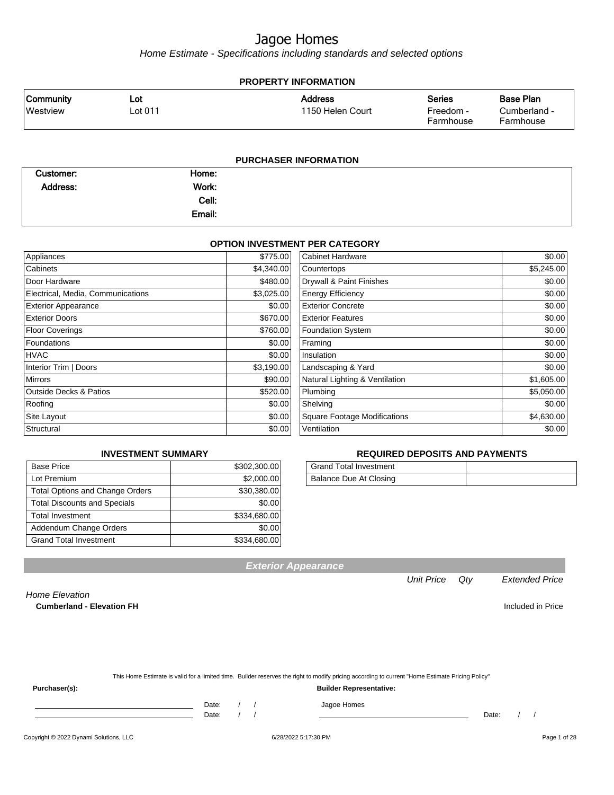Home Estimate - Specifications including standards and selected options

| <b>PROPERTY INFORMATION</b> |         |                              |                        |                           |  |
|-----------------------------|---------|------------------------------|------------------------|---------------------------|--|
| <b>Community</b>            | Lot     | <b>Address</b>               | <b>Series</b>          | <b>Base Plan</b>          |  |
| Westview                    | Lot 011 | 1150 Helen Court             | Freedom -<br>Farmhouse | Cumberland -<br>Farmhouse |  |
|                             |         |                              |                        |                           |  |
|                             |         | <b>PURCHASER INFORMATION</b> |                        |                           |  |

| Customer:       | Home:  |  |
|-----------------|--------|--|
| <b>Address:</b> | Work:  |  |
|                 | Cell:  |  |
|                 | Email: |  |

#### **OPTION INVESTMENT PER CATEGORY**

| Appliances                        | \$775.00   | <b>Cabinet Hardware</b>             | \$0.00     |
|-----------------------------------|------------|-------------------------------------|------------|
| Cabinets                          | \$4,340.00 | Countertops                         | \$5,245.00 |
| Door Hardware                     | \$480.00   | Drywall & Paint Finishes            | \$0.00     |
| Electrical, Media, Communications | \$3,025.00 | <b>Energy Efficiency</b>            | \$0.00     |
| <b>Exterior Appearance</b>        | \$0.00     | <b>Exterior Concrete</b>            | \$0.00     |
| <b>Exterior Doors</b>             | \$670.00   | <b>Exterior Features</b>            | \$0.00     |
| Floor Coverings                   | \$760.00   | <b>Foundation System</b>            | \$0.00     |
| <b>Foundations</b>                | \$0.00     | Framing                             | \$0.00     |
| <b>HVAC</b>                       | \$0.00     | Insulation                          | \$0.00     |
| Interior Trim   Doors             | \$3,190.00 | Landscaping & Yard                  | \$0.00     |
| <b>Mirrors</b>                    | \$90.00    | Natural Lighting & Ventilation      | \$1,605.00 |
| <b>Outside Decks &amp; Patios</b> | \$520.00   | Plumbing                            | \$5,050.00 |
| Roofing                           | \$0.00     | Shelving                            | \$0.00     |
| Site Layout                       | \$0.00     | <b>Square Footage Modifications</b> | \$4,630.00 |
| Structural                        | \$0.00     | Ventilation                         | \$0.00     |
|                                   |            |                                     |            |

#### **REQUIRED DEPOSITS AND PAYMENTS**

| <b>Grand Total Investment</b> |  |
|-------------------------------|--|
| Balance Due At Closing        |  |

| <b>Base Price</b>                      | \$302,300.00 |
|----------------------------------------|--------------|
| Lot Premium                            | \$2,000.00   |
| <b>Total Options and Change Orders</b> | \$30,380.00  |
| <b>Total Discounts and Specials</b>    | \$0.00       |
| <b>Total Investment</b>                | \$334,680.00 |
| Addendum Change Orders                 | \$0.00       |
| <b>Grand Total Investment</b>          | \$334,680.00 |

**INVESTMENT SUMMARY**

# **Exterior Appearance**

#### Unit Price Qty Extended Price

Home Elevation **Cumberland - Elevation FH Included in Price** 

| This Home Estimate is valid for a limited time. Builder reserves the right to modify pricing according to current "Home Estimate Pricing Policy" |
|--------------------------------------------------------------------------------------------------------------------------------------------------|

**Purchaser(s): Builder Representative:**

Date: / / / Jagoe Homes

Date: / / Date: / /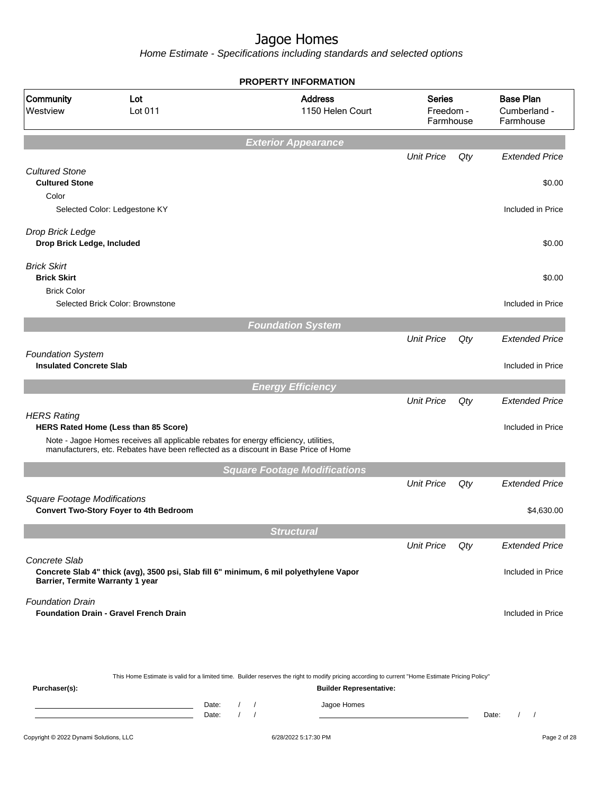|                                                            |                                                                                                                                                                             | <b>PROPERTY INFORMATION</b>                                                                                                                      |                                         |     |                                               |
|------------------------------------------------------------|-----------------------------------------------------------------------------------------------------------------------------------------------------------------------------|--------------------------------------------------------------------------------------------------------------------------------------------------|-----------------------------------------|-----|-----------------------------------------------|
| Community<br>Westview                                      | Lot<br>Lot 011                                                                                                                                                              | <b>Address</b><br>1150 Helen Court                                                                                                               | <b>Series</b><br>Freedom -<br>Farmhouse |     | <b>Base Plan</b><br>Cumberland -<br>Farmhouse |
|                                                            |                                                                                                                                                                             | <b>Exterior Appearance</b>                                                                                                                       |                                         |     |                                               |
|                                                            |                                                                                                                                                                             |                                                                                                                                                  | <b>Unit Price</b>                       | Qty | <b>Extended Price</b>                         |
| <b>Cultured Stone</b><br><b>Cultured Stone</b>             |                                                                                                                                                                             |                                                                                                                                                  |                                         |     | \$0.00                                        |
| Color                                                      | Selected Color: Ledgestone KY                                                                                                                                               |                                                                                                                                                  |                                         |     | Included in Price                             |
| Drop Brick Ledge<br>Drop Brick Ledge, Included             |                                                                                                                                                                             |                                                                                                                                                  |                                         |     | \$0.00                                        |
| <b>Brick Skirt</b><br><b>Brick Skirt</b>                   |                                                                                                                                                                             |                                                                                                                                                  |                                         |     | \$0.00                                        |
| <b>Brick Color</b>                                         |                                                                                                                                                                             |                                                                                                                                                  |                                         |     |                                               |
|                                                            | Selected Brick Color: Brownstone                                                                                                                                            |                                                                                                                                                  |                                         |     | Included in Price                             |
|                                                            |                                                                                                                                                                             | <b>Foundation System</b>                                                                                                                         |                                         |     |                                               |
|                                                            |                                                                                                                                                                             |                                                                                                                                                  | <b>Unit Price</b>                       | Qty | <b>Extended Price</b>                         |
| <b>Foundation System</b><br><b>Insulated Concrete Slab</b> |                                                                                                                                                                             |                                                                                                                                                  |                                         |     | Included in Price                             |
|                                                            |                                                                                                                                                                             | <b>Energy Efficiency</b>                                                                                                                         |                                         |     |                                               |
|                                                            |                                                                                                                                                                             |                                                                                                                                                  | <b>Unit Price</b>                       | Qty | <b>Extended Price</b>                         |
| <b>HERS Rating</b>                                         | HERS Rated Home (Less than 85 Score)                                                                                                                                        |                                                                                                                                                  |                                         |     | Included in Price                             |
|                                                            | Note - Jagoe Homes receives all applicable rebates for energy efficiency, utilities,<br>manufacturers, etc. Rebates have been reflected as a discount in Base Price of Home |                                                                                                                                                  |                                         |     |                                               |
|                                                            |                                                                                                                                                                             | <b>Square Footage Modifications</b>                                                                                                              |                                         |     |                                               |
|                                                            |                                                                                                                                                                             |                                                                                                                                                  | <b>Unit Price</b>                       | Qty | <b>Extended Price</b>                         |
| <b>Square Footage Modifications</b>                        | <b>Convert Two-Story Foyer to 4th Bedroom</b>                                                                                                                               |                                                                                                                                                  |                                         |     | \$4,630.00                                    |
|                                                            |                                                                                                                                                                             | <b>Structura</b>                                                                                                                                 |                                         |     |                                               |
|                                                            |                                                                                                                                                                             |                                                                                                                                                  | <b>Unit Price</b>                       | Qty | <b>Extended Price</b>                         |
| Concrete Slab<br>Barrier, Termite Warranty 1 year          | Concrete Slab 4" thick (avg), 3500 psi, Slab fill 6" minimum, 6 mil polyethylene Vapor                                                                                      |                                                                                                                                                  |                                         |     | Included in Price                             |
| <b>Foundation Drain</b>                                    | <b>Foundation Drain - Gravel French Drain</b>                                                                                                                               |                                                                                                                                                  |                                         |     | Included in Price                             |
|                                                            |                                                                                                                                                                             | This Home Estimate is valid for a limited time. Builder reserves the right to modify pricing according to current "Home Estimate Pricing Policy" |                                         |     |                                               |
| Purchaser(s):                                              |                                                                                                                                                                             | <b>Builder Representative:</b>                                                                                                                   |                                         |     |                                               |
|                                                            | Date:<br>Date:                                                                                                                                                              | Jagoe Homes<br>$\sqrt{2}$<br>$\sqrt{ }$                                                                                                          |                                         |     | Date:<br>$\sqrt{2}$<br>$\prime$               |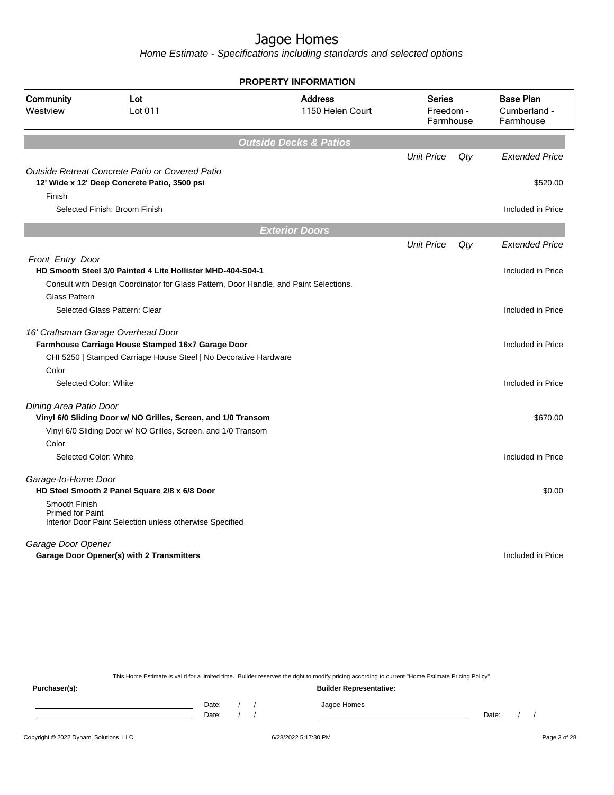Home Estimate - Specifications including standards and selected options

|                                          |                                                                                         | <b>PROPERTY INFORMATION</b>        |                                         |     |                                               |
|------------------------------------------|-----------------------------------------------------------------------------------------|------------------------------------|-----------------------------------------|-----|-----------------------------------------------|
| Community<br>Westview                    | Lot<br>Lot 011                                                                          | <b>Address</b><br>1150 Helen Court | <b>Series</b><br>Freedom -<br>Farmhouse |     | <b>Base Plan</b><br>Cumberland -<br>Farmhouse |
|                                          |                                                                                         | <b>Outside Decks &amp; Patios</b>  |                                         |     |                                               |
|                                          |                                                                                         |                                    | <b>Unit Price</b>                       | Qty | <b>Extended Price</b>                         |
|                                          | Outside Retreat Concrete Patio or Covered Patio                                         |                                    |                                         |     |                                               |
|                                          | 12' Wide x 12' Deep Concrete Patio, 3500 psi                                            |                                    |                                         |     | \$520.00                                      |
| Finish                                   |                                                                                         |                                    |                                         |     |                                               |
|                                          | Selected Finish: Broom Finish                                                           |                                    |                                         |     | Included in Price                             |
|                                          |                                                                                         | <b>Exterior Doors</b>              |                                         |     |                                               |
|                                          |                                                                                         |                                    | <b>Unit Price</b>                       | Qty | <b>Extended Price</b>                         |
| Front Entry Door                         |                                                                                         |                                    |                                         |     |                                               |
|                                          | HD Smooth Steel 3/0 Painted 4 Lite Hollister MHD-404-S04-1                              |                                    |                                         |     | Included in Price                             |
|                                          | Consult with Design Coordinator for Glass Pattern, Door Handle, and Paint Selections.   |                                    |                                         |     |                                               |
| <b>Glass Pattern</b>                     | Selected Glass Pattern: Clear                                                           |                                    |                                         |     | Included in Price                             |
|                                          |                                                                                         |                                    |                                         |     |                                               |
|                                          | 16' Craftsman Garage Overhead Door<br>Farmhouse Carriage House Stamped 16x7 Garage Door |                                    |                                         |     | Included in Price                             |
|                                          | CHI 5250   Stamped Carriage House Steel   No Decorative Hardware                        |                                    |                                         |     |                                               |
| Color                                    |                                                                                         |                                    |                                         |     |                                               |
| Selected Color: White                    |                                                                                         |                                    |                                         |     | Included in Price                             |
| Dining Area Patio Door                   |                                                                                         |                                    |                                         |     |                                               |
|                                          | Vinyl 6/0 Sliding Door w/ NO Grilles, Screen, and 1/0 Transom                           |                                    |                                         |     | \$670.00                                      |
|                                          | Vinyl 6/0 Sliding Door w/ NO Grilles, Screen, and 1/0 Transom                           |                                    |                                         |     |                                               |
| Color                                    |                                                                                         |                                    |                                         |     |                                               |
| Selected Color: White                    |                                                                                         |                                    |                                         |     | Included in Price                             |
| Garage-to-Home Door                      | HD Steel Smooth 2 Panel Square 2/8 x 6/8 Door                                           |                                    |                                         |     | \$0.00                                        |
| Smooth Finish<br><b>Primed for Paint</b> | Interior Door Paint Selection unless otherwise Specified                                |                                    |                                         |     |                                               |
| Garage Door Opener                       |                                                                                         |                                    |                                         |     |                                               |
|                                          | <b>Garage Door Opener(s) with 2 Transmitters</b>                                        |                                    |                                         |     | Included in Price                             |
|                                          |                                                                                         |                                    |                                         |     |                                               |

This Home Estimate is valid for a limited time. Builder reserves the right to modify pricing according to current "Home Estimate Pricing Policy"

**Purchaser(s): Builder Representative:** Date: / / Jagoe Homes<br>Date: / / Jagoe Homes Date: / / Date: / /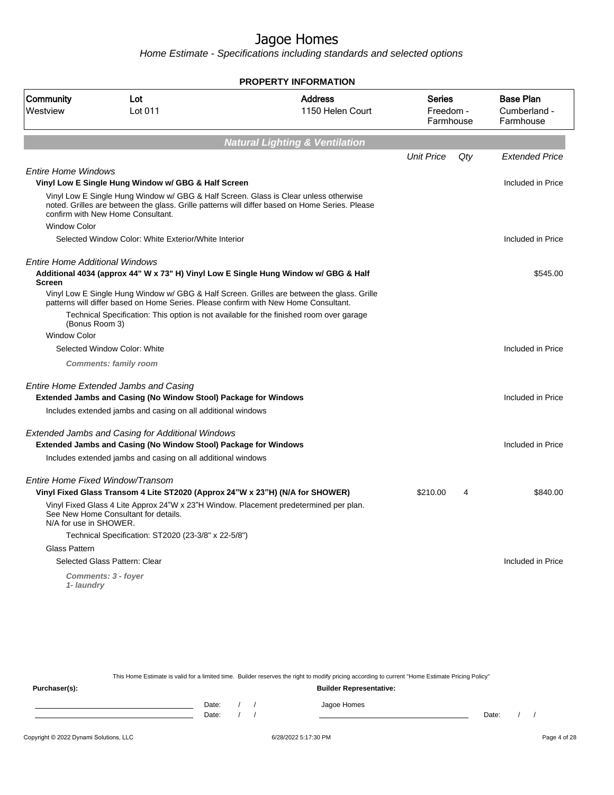Home Estimate - Specifications including standards and selected options

| <b>PROPERTY INFORMATION</b>                                    |                                    |                                                                                                                                                                                                                                                                                                                                                                                                                                                                                                                                                                                                                                                                                                                                                                                                                                                                                                                                                                                                                                                                                                                                                                                                                                                                                                    |     |                                               |  |  |
|----------------------------------------------------------------|------------------------------------|----------------------------------------------------------------------------------------------------------------------------------------------------------------------------------------------------------------------------------------------------------------------------------------------------------------------------------------------------------------------------------------------------------------------------------------------------------------------------------------------------------------------------------------------------------------------------------------------------------------------------------------------------------------------------------------------------------------------------------------------------------------------------------------------------------------------------------------------------------------------------------------------------------------------------------------------------------------------------------------------------------------------------------------------------------------------------------------------------------------------------------------------------------------------------------------------------------------------------------------------------------------------------------------------------|-----|-----------------------------------------------|--|--|
| Lot<br>Lot 011                                                 | <b>Address</b><br>1150 Helen Court |                                                                                                                                                                                                                                                                                                                                                                                                                                                                                                                                                                                                                                                                                                                                                                                                                                                                                                                                                                                                                                                                                                                                                                                                                                                                                                    |     | <b>Base Plan</b><br>Cumberland -<br>Farmhouse |  |  |
|                                                                |                                    |                                                                                                                                                                                                                                                                                                                                                                                                                                                                                                                                                                                                                                                                                                                                                                                                                                                                                                                                                                                                                                                                                                                                                                                                                                                                                                    |     |                                               |  |  |
|                                                                |                                    | <b>Unit Price</b>                                                                                                                                                                                                                                                                                                                                                                                                                                                                                                                                                                                                                                                                                                                                                                                                                                                                                                                                                                                                                                                                                                                                                                                                                                                                                  | Qtv | <b>Extended Price</b>                         |  |  |
| <b>Entire Home Windows</b>                                     |                                    |                                                                                                                                                                                                                                                                                                                                                                                                                                                                                                                                                                                                                                                                                                                                                                                                                                                                                                                                                                                                                                                                                                                                                                                                                                                                                                    |     |                                               |  |  |
|                                                                |                                    |                                                                                                                                                                                                                                                                                                                                                                                                                                                                                                                                                                                                                                                                                                                                                                                                                                                                                                                                                                                                                                                                                                                                                                                                                                                                                                    |     | Included in Price                             |  |  |
| confirm with New Home Consultant.                              |                                    |                                                                                                                                                                                                                                                                                                                                                                                                                                                                                                                                                                                                                                                                                                                                                                                                                                                                                                                                                                                                                                                                                                                                                                                                                                                                                                    |     |                                               |  |  |
|                                                                |                                    |                                                                                                                                                                                                                                                                                                                                                                                                                                                                                                                                                                                                                                                                                                                                                                                                                                                                                                                                                                                                                                                                                                                                                                                                                                                                                                    |     |                                               |  |  |
|                                                                |                                    |                                                                                                                                                                                                                                                                                                                                                                                                                                                                                                                                                                                                                                                                                                                                                                                                                                                                                                                                                                                                                                                                                                                                                                                                                                                                                                    |     | Included in Price                             |  |  |
| <b>Entire Home Additional Windows</b>                          |                                    |                                                                                                                                                                                                                                                                                                                                                                                                                                                                                                                                                                                                                                                                                                                                                                                                                                                                                                                                                                                                                                                                                                                                                                                                                                                                                                    |     |                                               |  |  |
|                                                                |                                    |                                                                                                                                                                                                                                                                                                                                                                                                                                                                                                                                                                                                                                                                                                                                                                                                                                                                                                                                                                                                                                                                                                                                                                                                                                                                                                    |     | \$545.00                                      |  |  |
|                                                                |                                    |                                                                                                                                                                                                                                                                                                                                                                                                                                                                                                                                                                                                                                                                                                                                                                                                                                                                                                                                                                                                                                                                                                                                                                                                                                                                                                    |     |                                               |  |  |
| (Bonus Room 3)                                                 |                                    |                                                                                                                                                                                                                                                                                                                                                                                                                                                                                                                                                                                                                                                                                                                                                                                                                                                                                                                                                                                                                                                                                                                                                                                                                                                                                                    |     |                                               |  |  |
|                                                                |                                    |                                                                                                                                                                                                                                                                                                                                                                                                                                                                                                                                                                                                                                                                                                                                                                                                                                                                                                                                                                                                                                                                                                                                                                                                                                                                                                    |     |                                               |  |  |
| Selected Window Color: White                                   |                                    |                                                                                                                                                                                                                                                                                                                                                                                                                                                                                                                                                                                                                                                                                                                                                                                                                                                                                                                                                                                                                                                                                                                                                                                                                                                                                                    |     | Included in Price                             |  |  |
| <b>Comments: family room</b>                                   |                                    |                                                                                                                                                                                                                                                                                                                                                                                                                                                                                                                                                                                                                                                                                                                                                                                                                                                                                                                                                                                                                                                                                                                                                                                                                                                                                                    |     |                                               |  |  |
| Entire Home Extended Jambs and Casing                          |                                    |                                                                                                                                                                                                                                                                                                                                                                                                                                                                                                                                                                                                                                                                                                                                                                                                                                                                                                                                                                                                                                                                                                                                                                                                                                                                                                    |     |                                               |  |  |
|                                                                |                                    |                                                                                                                                                                                                                                                                                                                                                                                                                                                                                                                                                                                                                                                                                                                                                                                                                                                                                                                                                                                                                                                                                                                                                                                                                                                                                                    |     | Included in Price                             |  |  |
|                                                                |                                    |                                                                                                                                                                                                                                                                                                                                                                                                                                                                                                                                                                                                                                                                                                                                                                                                                                                                                                                                                                                                                                                                                                                                                                                                                                                                                                    |     |                                               |  |  |
|                                                                |                                    |                                                                                                                                                                                                                                                                                                                                                                                                                                                                                                                                                                                                                                                                                                                                                                                                                                                                                                                                                                                                                                                                                                                                                                                                                                                                                                    |     |                                               |  |  |
|                                                                |                                    |                                                                                                                                                                                                                                                                                                                                                                                                                                                                                                                                                                                                                                                                                                                                                                                                                                                                                                                                                                                                                                                                                                                                                                                                                                                                                                    |     | Included in Price                             |  |  |
|                                                                |                                    |                                                                                                                                                                                                                                                                                                                                                                                                                                                                                                                                                                                                                                                                                                                                                                                                                                                                                                                                                                                                                                                                                                                                                                                                                                                                                                    |     |                                               |  |  |
| Entire Home Fixed Window/Transom                               |                                    |                                                                                                                                                                                                                                                                                                                                                                                                                                                                                                                                                                                                                                                                                                                                                                                                                                                                                                                                                                                                                                                                                                                                                                                                                                                                                                    |     |                                               |  |  |
|                                                                |                                    | \$210.00                                                                                                                                                                                                                                                                                                                                                                                                                                                                                                                                                                                                                                                                                                                                                                                                                                                                                                                                                                                                                                                                                                                                                                                                                                                                                           | 4   | \$840.00                                      |  |  |
| See New Home Consultant for details.<br>N/A for use in SHOWER. |                                    |                                                                                                                                                                                                                                                                                                                                                                                                                                                                                                                                                                                                                                                                                                                                                                                                                                                                                                                                                                                                                                                                                                                                                                                                                                                                                                    |     |                                               |  |  |
|                                                                |                                    |                                                                                                                                                                                                                                                                                                                                                                                                                                                                                                                                                                                                                                                                                                                                                                                                                                                                                                                                                                                                                                                                                                                                                                                                                                                                                                    |     |                                               |  |  |
|                                                                |                                    |                                                                                                                                                                                                                                                                                                                                                                                                                                                                                                                                                                                                                                                                                                                                                                                                                                                                                                                                                                                                                                                                                                                                                                                                                                                                                                    |     |                                               |  |  |
| Selected Glass Pattern: Clear                                  |                                    |                                                                                                                                                                                                                                                                                                                                                                                                                                                                                                                                                                                                                                                                                                                                                                                                                                                                                                                                                                                                                                                                                                                                                                                                                                                                                                    |     | Included in Price                             |  |  |
| Comments: 3 - foyer<br>1- laundry                              |                                    |                                                                                                                                                                                                                                                                                                                                                                                                                                                                                                                                                                                                                                                                                                                                                                                                                                                                                                                                                                                                                                                                                                                                                                                                                                                                                                    |     |                                               |  |  |
|                                                                |                                    | <b>Natural Lighting &amp; Ventilation</b><br>Vinyl Low E Single Hung Window w/ GBG & Half Screen<br>Vinyl Low E Single Hung Window w/ GBG & Half Screen. Glass is Clear unless otherwise<br>noted. Grilles are between the glass. Grille patterns will differ based on Home Series. Please<br>Selected Window Color: White Exterior/White Interior<br>Additional 4034 (approx 44" W x 73" H) Vinyl Low E Single Hung Window w/ GBG & Half<br>Vinyl Low E Single Hung Window w/ GBG & Half Screen. Grilles are between the glass. Grille<br>patterns will differ based on Home Series. Please confirm with New Home Consultant.<br>Technical Specification: This option is not available for the finished room over garage<br><b>Extended Jambs and Casing (No Window Stool) Package for Windows</b><br>Includes extended jambs and casing on all additional windows<br>Extended Jambs and Casing for Additional Windows<br><b>Extended Jambs and Casing (No Window Stool) Package for Windows</b><br>Includes extended jambs and casing on all additional windows<br>Vinyl Fixed Glass Transom 4 Lite ST2020 (Approx 24"W x 23"H) (N/A for SHOWER)<br>Vinyl Fixed Glass 4 Lite Approx 24"W x 23"H Window. Placement predetermined per plan.<br>Technical Specification: ST2020 (23-3/8" x 22-5/8") |     | Series<br>Freedom -<br>Farmhouse              |  |  |

This Home Estimate is valid for a limited time. Builder reserves the right to modify pricing according to current "Home Estimate Pricing Policy" **Purchaser(s): Builder Representative:**

| Date: |  | $1000 -$<br>Homes<br>סטוווטו ו<br>ູ |       |  |
|-------|--|-------------------------------------|-------|--|
| Date: |  |                                     | Date: |  |
|       |  |                                     |       |  |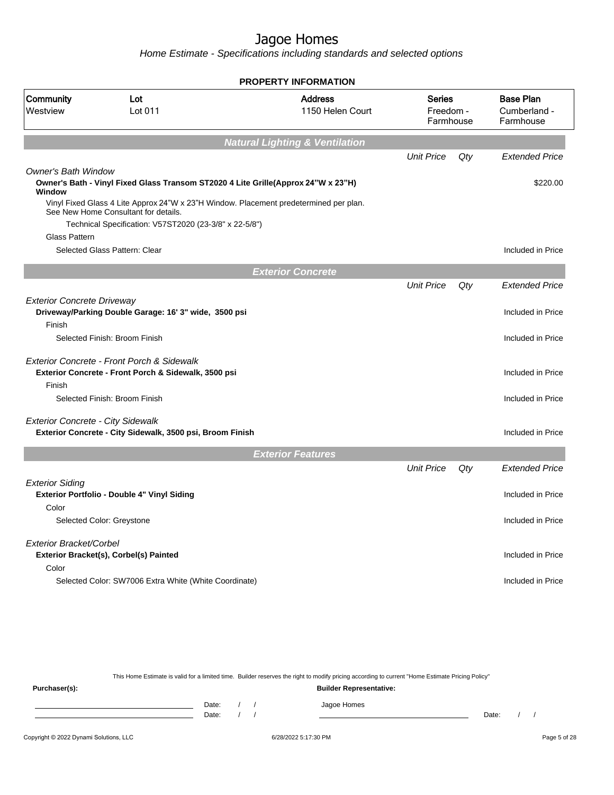Home Estimate - Specifications including standards and selected options

|                                          |                                                                                                                                                                                         | <b>PROPERTY INFORMATION</b>               |                                         |     |                                               |
|------------------------------------------|-----------------------------------------------------------------------------------------------------------------------------------------------------------------------------------------|-------------------------------------------|-----------------------------------------|-----|-----------------------------------------------|
| Community<br>Westview                    | Lot<br>Lot 011                                                                                                                                                                          | <b>Address</b><br>1150 Helen Court        | <b>Series</b><br>Freedom -<br>Farmhouse |     | <b>Base Plan</b><br>Cumberland -<br>Farmhouse |
|                                          |                                                                                                                                                                                         | <b>Natural Lighting &amp; Ventilation</b> |                                         |     |                                               |
|                                          |                                                                                                                                                                                         |                                           | <b>Unit Price</b>                       | Qtv | <b>Extended Price</b>                         |
| <b>Owner's Bath Window</b><br>Window     | Owner's Bath - Vinyl Fixed Glass Transom ST2020 4 Lite Grille(Approx 24"W x 23"H)                                                                                                       |                                           |                                         |     | \$220.00                                      |
|                                          | Vinyl Fixed Glass 4 Lite Approx 24"W x 23"H Window. Placement predetermined per plan.<br>See New Home Consultant for details.<br>Technical Specification: V57ST2020 (23-3/8" x 22-5/8") |                                           |                                         |     |                                               |
| <b>Glass Pattern</b>                     |                                                                                                                                                                                         |                                           |                                         |     |                                               |
|                                          | Selected Glass Pattern: Clear                                                                                                                                                           |                                           |                                         |     | Included in Price                             |
|                                          |                                                                                                                                                                                         | <b>Exterior Concrete</b>                  |                                         |     |                                               |
|                                          |                                                                                                                                                                                         |                                           | <b>Unit Price</b>                       | Qty | <b>Extended Price</b>                         |
| <b>Exterior Concrete Driveway</b>        | Driveway/Parking Double Garage: 16' 3" wide, 3500 psi                                                                                                                                   |                                           |                                         |     | Included in Price                             |
| Finish                                   | Selected Finish: Broom Finish                                                                                                                                                           |                                           |                                         |     | Included in Price                             |
| Finish                                   | <b>Exterior Concrete - Front Porch &amp; Sidewalk</b><br>Exterior Concrete - Front Porch & Sidewalk, 3500 psi                                                                           |                                           |                                         |     | Included in Price                             |
|                                          | Selected Finish: Broom Finish                                                                                                                                                           |                                           |                                         |     | Included in Price                             |
| <b>Exterior Concrete - City Sidewalk</b> | Exterior Concrete - City Sidewalk, 3500 psi, Broom Finish                                                                                                                               |                                           |                                         |     | Included in Price                             |
|                                          |                                                                                                                                                                                         | <b>Exterior Features</b>                  |                                         |     |                                               |
|                                          |                                                                                                                                                                                         |                                           | <b>Unit Price</b>                       | Qty | <b>Extended Price</b>                         |
| <b>Exterior Siding</b>                   | Exterior Portfolio - Double 4" Vinyl Siding                                                                                                                                             |                                           |                                         |     | Included in Price                             |
| Color                                    | Selected Color: Greystone                                                                                                                                                               |                                           |                                         |     | Included in Price                             |
| Exterior Bracket/Corbel                  | Exterior Bracket(s), Corbel(s) Painted                                                                                                                                                  |                                           |                                         |     | Included in Price                             |
| Color                                    | Selected Color: SW7006 Extra White (White Coordinate)                                                                                                                                   |                                           |                                         |     | Included in Price                             |
|                                          |                                                                                                                                                                                         |                                           |                                         |     |                                               |

This Home Estimate is valid for a limited time. Builder reserves the right to modify pricing according to current "Home Estimate Pricing Policy"

**Purchaser(s): Builder Representative:** Date: / / Jagoe Homes<br>Date: / / Jagoe Homes Date: / / Date: / /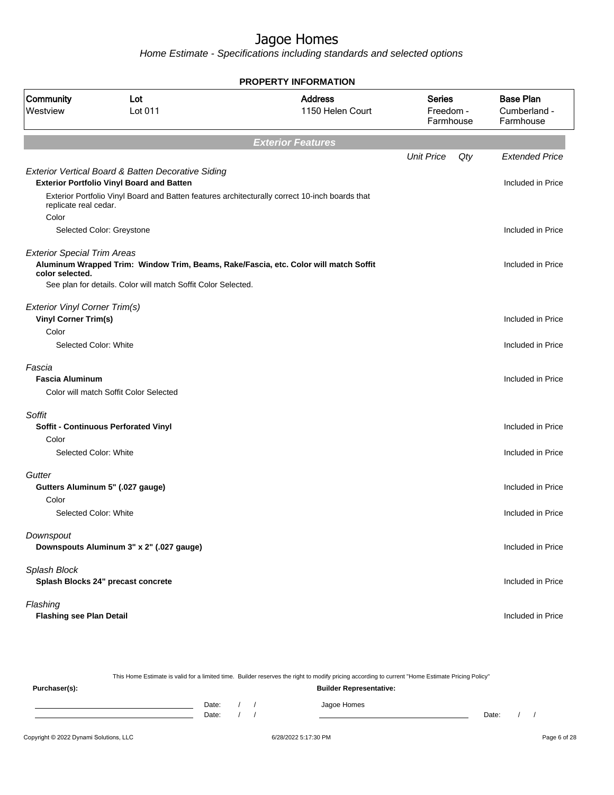Home Estimate - Specifications including standards and selected options

|                                                              |                                                                                                        | <b>PROPERTY INFORMATION</b>                                                                    |                                         |     |                                               |
|--------------------------------------------------------------|--------------------------------------------------------------------------------------------------------|------------------------------------------------------------------------------------------------|-----------------------------------------|-----|-----------------------------------------------|
| Community<br>Westview                                        | Lot<br>Lot 011                                                                                         | <b>Address</b><br>1150 Helen Court                                                             | <b>Series</b><br>Freedom -<br>Farmhouse |     | <b>Base Plan</b><br>Cumberland -<br>Farmhouse |
|                                                              |                                                                                                        | <b>Exterior Features</b>                                                                       |                                         |     |                                               |
|                                                              |                                                                                                        |                                                                                                | <b>Unit Price</b>                       | Qty | <b>Extended Price</b>                         |
| replicate real cedar.                                        | Exterior Vertical Board & Batten Decorative Siding<br><b>Exterior Portfolio Vinyl Board and Batten</b> | Exterior Portfolio Vinyl Board and Batten features architecturally correct 10-inch boards that |                                         |     | Included in Price                             |
| Color                                                        |                                                                                                        |                                                                                                |                                         |     |                                               |
|                                                              | Selected Color: Greystone                                                                              |                                                                                                |                                         |     | Included in Price                             |
| <b>Exterior Special Trim Areas</b><br>color selected.        |                                                                                                        | Aluminum Wrapped Trim: Window Trim, Beams, Rake/Fascia, etc. Color will match Soffit           |                                         |     | Included in Price                             |
|                                                              | See plan for details. Color will match Soffit Color Selected.                                          |                                                                                                |                                         |     |                                               |
| Exterior Vinyl Corner Trim(s)<br><b>Vinyl Corner Trim(s)</b> |                                                                                                        |                                                                                                |                                         |     | Included in Price                             |
| Color                                                        |                                                                                                        |                                                                                                |                                         |     |                                               |
| Selected Color: White                                        |                                                                                                        |                                                                                                |                                         |     | Included in Price                             |
| Fascia<br><b>Fascia Aluminum</b>                             |                                                                                                        |                                                                                                |                                         |     | Included in Price                             |
|                                                              | Color will match Soffit Color Selected                                                                 |                                                                                                |                                         |     |                                               |
| Soffit<br>Color                                              | <b>Soffit - Continuous Perforated Vinyl</b>                                                            |                                                                                                |                                         |     | Included in Price                             |
| Selected Color: White                                        |                                                                                                        |                                                                                                |                                         |     | Included in Price                             |
| Gutter                                                       |                                                                                                        |                                                                                                |                                         |     |                                               |
| Color                                                        | Gutters Aluminum 5" (.027 gauge)                                                                       |                                                                                                |                                         |     | Included in Price                             |
| Selected Color: White                                        |                                                                                                        |                                                                                                |                                         |     | Included in Price                             |
| Downspout                                                    | Downspouts Aluminum 3" x 2" (.027 gauge)                                                               |                                                                                                |                                         |     | Included in Price                             |
| Splash Block                                                 | Splash Blocks 24" precast concrete                                                                     |                                                                                                |                                         |     | Included in Price                             |
| Flashing<br><b>Flashing see Plan Detail</b>                  |                                                                                                        |                                                                                                |                                         |     | Included in Price                             |

Copyright © 2022 Dynami Solutions, LLC <br>
G/28/2022 5:17:30 PM 60128 Page 6 of 28 This Home Estimate is valid for a limited time. Builder reserves the right to modify pricing according to current "Home Estimate Pricing Policy" **Purchaser(s): Builder Representative:** Date: / / Jagoe Homes<br>Date: / / Jagoe Homes Date: / / Date: / /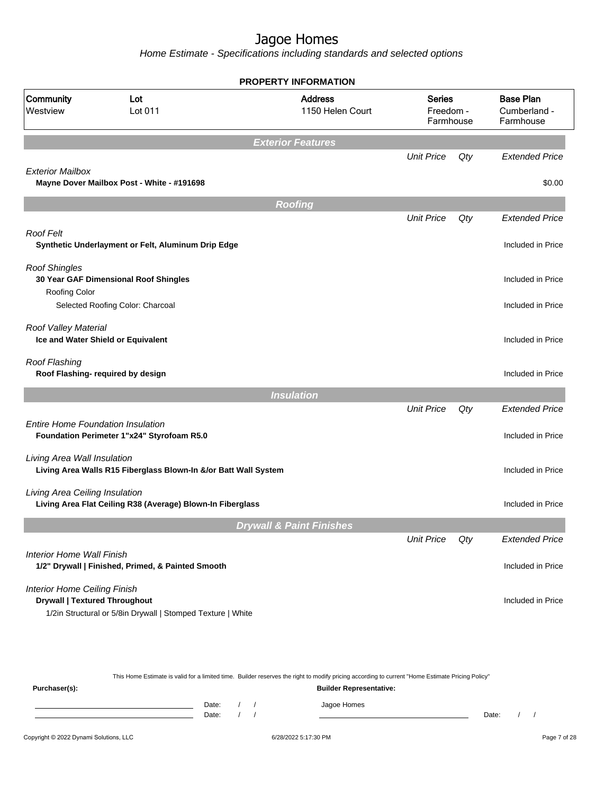|                                                                             |                                                                 | <b>PROPERTY INFORMATION</b>         |                                         |     |                                               |
|-----------------------------------------------------------------------------|-----------------------------------------------------------------|-------------------------------------|-----------------------------------------|-----|-----------------------------------------------|
| <b>Community</b><br>Lot<br>Westview<br>Lot 011                              |                                                                 | <b>Address</b><br>1150 Helen Court  | <b>Series</b><br>Freedom -<br>Farmhouse |     | <b>Base Plan</b><br>Cumberland -<br>Farmhouse |
|                                                                             |                                                                 | <b>Exterior Features</b>            |                                         |     |                                               |
|                                                                             |                                                                 |                                     | <b>Unit Price</b>                       | Qty | <b>Extended Price</b>                         |
| <b>Exterior Mailbox</b>                                                     | Mayne Dover Mailbox Post - White - #191698                      |                                     |                                         |     | \$0.00                                        |
|                                                                             |                                                                 | <b>Roofing</b>                      |                                         |     |                                               |
|                                                                             |                                                                 |                                     | <b>Unit Price</b>                       | Qty | <b>Extended Price</b>                         |
| <b>Roof Felt</b>                                                            | Synthetic Underlayment or Felt, Aluminum Drip Edge              |                                     |                                         |     | Included in Price                             |
| <b>Roof Shingles</b>                                                        | 30 Year GAF Dimensional Roof Shingles                           |                                     |                                         |     | Included in Price                             |
| Roofing Color                                                               | Selected Roofing Color: Charcoal                                |                                     |                                         |     | Included in Price                             |
| Roof Valley Material                                                        | Ice and Water Shield or Equivalent                              |                                     |                                         |     | Included in Price                             |
| Roof Flashing                                                               | Roof Flashing- required by design                               |                                     |                                         |     | Included in Price                             |
|                                                                             |                                                                 | <b>Insulation</b>                   |                                         |     |                                               |
|                                                                             |                                                                 |                                     | <b>Unit Price</b>                       | Qty | <b>Extended Price</b>                         |
| <b>Entire Home Foundation Insulation</b>                                    | Foundation Perimeter 1"x24" Styrofoam R5.0                      |                                     |                                         |     | Included in Price                             |
| Living Area Wall Insulation                                                 | Living Area Walls R15 Fiberglass Blown-In &/or Batt Wall System |                                     |                                         |     | Included in Price                             |
| Living Area Ceiling Insulation                                              | Living Area Flat Ceiling R38 (Average) Blown-In Fiberglass      |                                     |                                         |     | Included in Price                             |
|                                                                             |                                                                 | <b>Drywall &amp; Paint Finishes</b> |                                         |     |                                               |
|                                                                             |                                                                 |                                     | <b>Unit Price</b>                       | Qty | <b>Extended Price</b>                         |
| Interior Home Wall Finish                                                   | 1/2" Drywall   Finished, Primed, & Painted Smooth               |                                     |                                         |     | Included in Price                             |
| <b>Interior Home Ceiling Finish</b><br><b>Drywall   Textured Throughout</b> | 1/2in Structural or 5/8in Drywall   Stomped Texture   White     |                                     |                                         |     | Included in Price                             |
|                                                                             |                                                                 |                                     |                                         |     |                                               |

|                                        |                |  | This Home Estimate is valid for a limited time. Builder reserves the right to modify pricing according to current "Home Estimate Pricing Policy" |       |  |              |
|----------------------------------------|----------------|--|--------------------------------------------------------------------------------------------------------------------------------------------------|-------|--|--------------|
| Purchaser(s):                          |                |  | <b>Builder Representative:</b>                                                                                                                   |       |  |              |
|                                        | Date:<br>Date: |  | Jagoe Homes                                                                                                                                      | Date: |  |              |
| Copyright © 2022 Dynami Solutions, LLC |                |  | 6/28/2022 5:17:30 PM                                                                                                                             |       |  | Page 7 of 28 |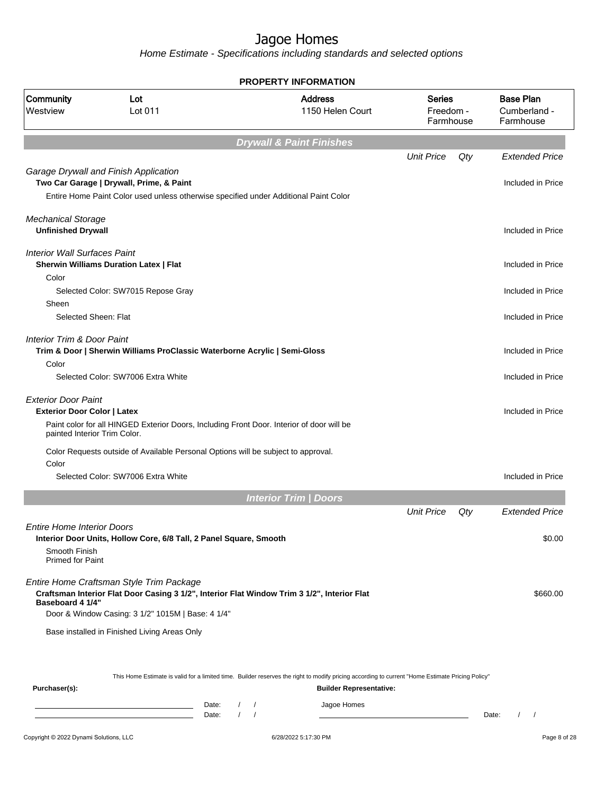Home Estimate - Specifications including standards and selected options

|                                                                  |                                                                                                   | <b>PROPERTY INFORMATION</b>                                                                                                                                                                                     |                                         |     |                                               |
|------------------------------------------------------------------|---------------------------------------------------------------------------------------------------|-----------------------------------------------------------------------------------------------------------------------------------------------------------------------------------------------------------------|-----------------------------------------|-----|-----------------------------------------------|
| Community<br>Westview                                            | Lot<br>Lot 011                                                                                    | <b>Address</b><br>1150 Helen Court                                                                                                                                                                              | <b>Series</b><br>Freedom -<br>Farmhouse |     | <b>Base Plan</b><br>Cumberland -<br>Farmhouse |
|                                                                  |                                                                                                   | <b>Drywall &amp; Paint Finishes</b>                                                                                                                                                                             |                                         |     |                                               |
|                                                                  | Garage Drywall and Finish Application<br>Two Car Garage   Drywall, Prime, & Paint                 |                                                                                                                                                                                                                 | <b>Unit Price</b>                       | Qty | <b>Extended Price</b><br>Included in Price    |
|                                                                  | Entire Home Paint Color used unless otherwise specified under Additional Paint Color              |                                                                                                                                                                                                                 |                                         |     |                                               |
| <b>Mechanical Storage</b><br><b>Unfinished Drywall</b>           |                                                                                                   |                                                                                                                                                                                                                 |                                         |     | Included in Price                             |
| <b>Interior Wall Surfaces Paint</b>                              | <b>Sherwin Williams Duration Latex   Flat</b>                                                     |                                                                                                                                                                                                                 |                                         |     | Included in Price                             |
| Color<br>Sheen                                                   | Selected Color: SW7015 Repose Gray                                                                |                                                                                                                                                                                                                 |                                         |     | Included in Price                             |
| Selected Sheen: Flat                                             |                                                                                                   |                                                                                                                                                                                                                 |                                         |     | Included in Price                             |
| <b>Interior Trim &amp; Door Paint</b>                            | Trim & Door   Sherwin Williams ProClassic Waterborne Acrylic   Semi-Gloss                         |                                                                                                                                                                                                                 |                                         |     | Included in Price                             |
| Color                                                            | Selected Color: SW7006 Extra White                                                                |                                                                                                                                                                                                                 |                                         |     | Included in Price                             |
| <b>Exterior Door Paint</b><br><b>Exterior Door Color   Latex</b> | Paint color for all HINGED Exterior Doors, Including Front Door. Interior of door will be         |                                                                                                                                                                                                                 |                                         |     | Included in Price                             |
| painted Interior Trim Color.<br>Color                            | Color Requests outside of Available Personal Options will be subject to approval.                 |                                                                                                                                                                                                                 |                                         |     |                                               |
|                                                                  | Selected Color: SW7006 Extra White                                                                |                                                                                                                                                                                                                 |                                         |     | Included in Price                             |
|                                                                  |                                                                                                   | <b>Interior Trim / Doors</b>                                                                                                                                                                                    |                                         |     |                                               |
|                                                                  |                                                                                                   |                                                                                                                                                                                                                 | <b>Unit Price</b>                       | Qty | <b>Extended Price</b>                         |
| Entire Home Interior Doors                                       | Interior Door Units, Hollow Core, 6/8 Tall, 2 Panel Square, Smooth                                |                                                                                                                                                                                                                 |                                         |     | \$0.00                                        |
| Smooth Finish<br><b>Primed for Paint</b>                         |                                                                                                   |                                                                                                                                                                                                                 |                                         |     |                                               |
| Baseboard 4 1/4"                                                 | Entire Home Craftsman Style Trim Package                                                          | Craftsman Interior Flat Door Casing 3 1/2", Interior Flat Window Trim 3 1/2", Interior Flat                                                                                                                     |                                         |     | \$660.00                                      |
|                                                                  | Door & Window Casing: 3 1/2" 1015M   Base: 4 1/4"<br>Base installed in Finished Living Areas Only |                                                                                                                                                                                                                 |                                         |     |                                               |
| Purchaser(s):                                                    | Date:                                                                                             | This Home Estimate is valid for a limited time. Builder reserves the right to modify pricing according to current "Home Estimate Pricing Policy"<br><b>Builder Representative:</b><br>Jagoe Homes<br>$\sqrt{ }$ |                                         |     |                                               |

Date: / / Date: / /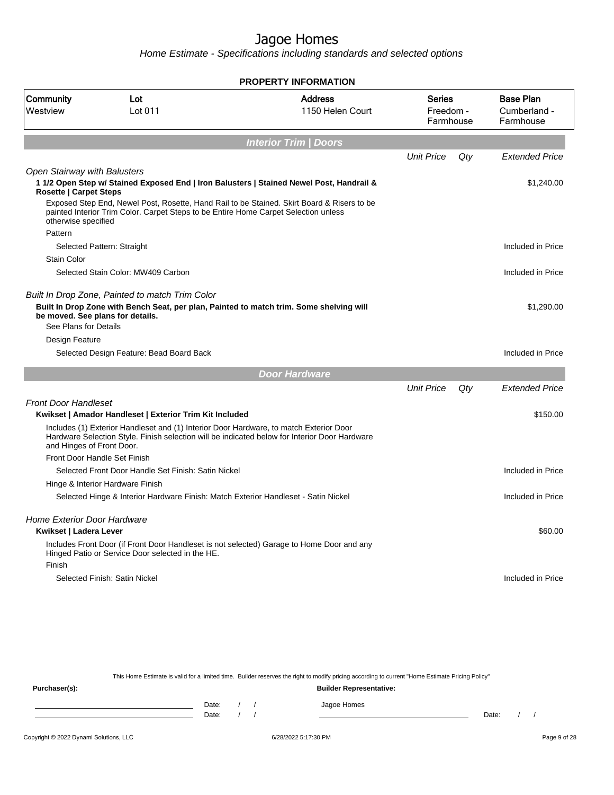Home Estimate - Specifications including standards and selected options

|                                                                                             |                                                                                     | <b>PROPERTY INFORMATION</b>                                                                                                                                                             |                                         |     |                                               |
|---------------------------------------------------------------------------------------------|-------------------------------------------------------------------------------------|-----------------------------------------------------------------------------------------------------------------------------------------------------------------------------------------|-----------------------------------------|-----|-----------------------------------------------|
| Community<br>Lot<br>Westview<br>Lot 011                                                     |                                                                                     | <b>Address</b><br>1150 Helen Court                                                                                                                                                      | <b>Series</b><br>Freedom -<br>Farmhouse |     | <b>Base Plan</b><br>Cumberland -<br>Farmhouse |
|                                                                                             |                                                                                     | <b>Interior Trim   Doors</b>                                                                                                                                                            |                                         |     |                                               |
|                                                                                             |                                                                                     |                                                                                                                                                                                         | <b>Unit Price</b>                       | Qty | <b>Extended Price</b>                         |
| <b>Open Stairway with Balusters</b><br><b>Rosette   Carpet Steps</b><br>otherwise specified | painted Interior Trim Color. Carpet Steps to be Entire Home Carpet Selection unless | 1 1/2 Open Step w/ Stained Exposed End   Iron Balusters   Stained Newel Post, Handrail &<br>Exposed Step End, Newel Post, Rosette, Hand Rail to be Stained. Skirt Board & Risers to be  |                                         |     | \$1,240.00                                    |
| Pattern                                                                                     |                                                                                     |                                                                                                                                                                                         |                                         |     |                                               |
|                                                                                             | Selected Pattern: Straight                                                          |                                                                                                                                                                                         |                                         |     | Included in Price                             |
| <b>Stain Color</b>                                                                          | Selected Stain Color: MW409 Carbon                                                  |                                                                                                                                                                                         |                                         |     | Included in Price                             |
|                                                                                             |                                                                                     |                                                                                                                                                                                         |                                         |     |                                               |
| be moved. See plans for details.<br>See Plans for Details                                   | Built In Drop Zone, Painted to match Trim Color                                     | Built In Drop Zone with Bench Seat, per plan, Painted to match trim. Some shelving will                                                                                                 |                                         |     | \$1,290.00                                    |
| Design Feature                                                                              |                                                                                     |                                                                                                                                                                                         |                                         |     |                                               |
|                                                                                             | Selected Design Feature: Bead Board Back                                            |                                                                                                                                                                                         |                                         |     | Included in Price                             |
|                                                                                             |                                                                                     | <b>Door Hardware</b>                                                                                                                                                                    |                                         |     |                                               |
|                                                                                             |                                                                                     |                                                                                                                                                                                         | <b>Unit Price</b>                       | Qty | <b>Extended Price</b>                         |
| <b>Front Door Handleset</b>                                                                 |                                                                                     |                                                                                                                                                                                         |                                         |     |                                               |
|                                                                                             | Kwikset   Amador Handleset   Exterior Trim Kit Included                             |                                                                                                                                                                                         |                                         |     | \$150.00                                      |
| and Hinges of Front Door.                                                                   |                                                                                     | Includes (1) Exterior Handleset and (1) Interior Door Hardware, to match Exterior Door<br>Hardware Selection Style. Finish selection will be indicated below for Interior Door Hardware |                                         |     |                                               |
|                                                                                             | Front Door Handle Set Finish                                                        |                                                                                                                                                                                         |                                         |     |                                               |
|                                                                                             | Selected Front Door Handle Set Finish: Satin Nickel                                 |                                                                                                                                                                                         |                                         |     | Included in Price                             |
|                                                                                             | Hinge & Interior Hardware Finish                                                    |                                                                                                                                                                                         |                                         |     |                                               |
|                                                                                             | Selected Hinge & Interior Hardware Finish: Match Exterior Handleset - Satin Nickel  |                                                                                                                                                                                         |                                         |     | Included in Price                             |
| <b>Home Exterior Door Hardware</b><br>Kwikset   Ladera Lever                                |                                                                                     |                                                                                                                                                                                         |                                         |     | \$60.00                                       |
|                                                                                             | Hinged Patio or Service Door selected in the HE.                                    | Includes Front Door (if Front Door Handleset is not selected) Garage to Home Door and any                                                                                               |                                         |     |                                               |
| Finish                                                                                      |                                                                                     |                                                                                                                                                                                         |                                         |     |                                               |
|                                                                                             | Selected Finish: Satin Nickel                                                       |                                                                                                                                                                                         |                                         |     | Included in Price                             |
|                                                                                             |                                                                                     |                                                                                                                                                                                         |                                         |     |                                               |
|                                                                                             |                                                                                     |                                                                                                                                                                                         |                                         |     |                                               |

This Home Estimate is valid for a limited time. Builder reserves the right to modify pricing according to current "Home Estimate Pricing Policy" **Purchaser(s): Builder Representative:** Date: / / Jagoe Homes<br>Date: / / Jagoe Homes Date: / / **Date: / / 2006** Date: / / / Date: / / / Date: / / / 2006 Date: / / / 2006 Date: / / / 2006 Date: / / / 2006 Date: / / / 2007 Date: / / / 2007 Date: / / / 2007 Date: / / / 2007 Date: / / / 2007 Date: / / / 2007 D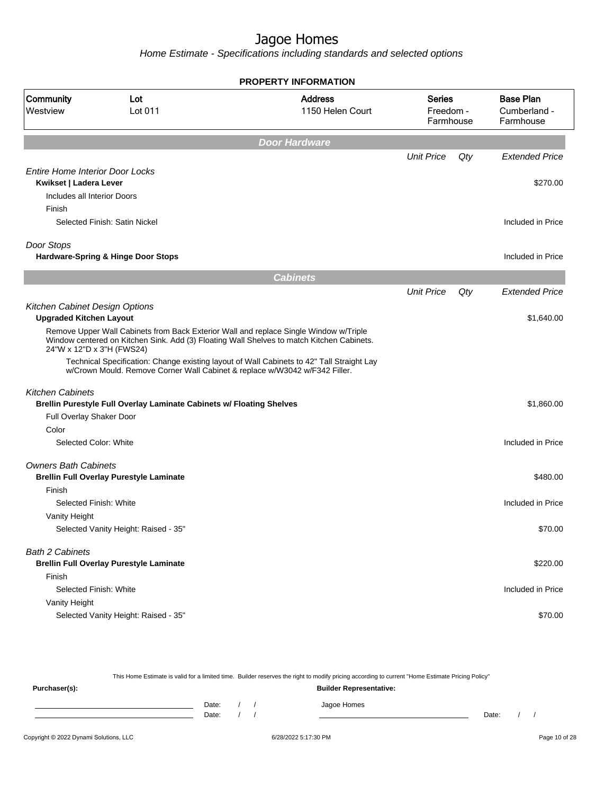Home Estimate - Specifications including standards and selected options

|                                        |                                                                                                                    | <b>PROPERTY INFORMATION</b>                                                               |                                         |     |                                               |
|----------------------------------------|--------------------------------------------------------------------------------------------------------------------|-------------------------------------------------------------------------------------------|-----------------------------------------|-----|-----------------------------------------------|
| <b>Community</b><br>Westview           | Lot<br>Lot 011                                                                                                     | <b>Address</b><br>1150 Helen Court                                                        | <b>Series</b><br>Freedom -<br>Farmhouse |     | <b>Base Plan</b><br>Cumberland -<br>Farmhouse |
|                                        |                                                                                                                    | <b>Door Hardware</b>                                                                      |                                         |     |                                               |
|                                        |                                                                                                                    |                                                                                           | <b>Unit Price</b>                       | Qty | <b>Extended Price</b>                         |
| <b>Entire Home Interior Door Locks</b> |                                                                                                                    |                                                                                           |                                         |     |                                               |
| Kwikset   Ladera Lever                 |                                                                                                                    |                                                                                           |                                         |     | \$270.00                                      |
| Includes all Interior Doors            |                                                                                                                    |                                                                                           |                                         |     |                                               |
| Finish                                 | Selected Finish: Satin Nickel                                                                                      |                                                                                           |                                         |     | Included in Price                             |
|                                        |                                                                                                                    |                                                                                           |                                         |     |                                               |
| Door Stops                             |                                                                                                                    |                                                                                           |                                         |     |                                               |
|                                        | Hardware-Spring & Hinge Door Stops                                                                                 |                                                                                           |                                         |     | Included in Price                             |
|                                        |                                                                                                                    | <b>Cabinets</b>                                                                           |                                         |     |                                               |
|                                        |                                                                                                                    |                                                                                           | <b>Unit Price</b>                       | Qty | <b>Extended Price</b>                         |
| Kitchen Cabinet Design Options         |                                                                                                                    |                                                                                           |                                         |     |                                               |
| <b>Upgraded Kitchen Layout</b>         |                                                                                                                    |                                                                                           |                                         |     | \$1,640.00                                    |
|                                        | Remove Upper Wall Cabinets from Back Exterior Wall and replace Single Window w/Triple<br>24"W x 12"D x 3"H (FWS24) | Window centered on Kitchen Sink. Add (3) Floating Wall Shelves to match Kitchen Cabinets. |                                         |     |                                               |
|                                        | w/Crown Mould. Remove Corner Wall Cabinet & replace w/W3042 w/F342 Filler.                                         | Technical Specification: Change existing layout of Wall Cabinets to 42" Tall Straight Lay |                                         |     |                                               |
| <b>Kitchen Cabinets</b>                |                                                                                                                    |                                                                                           |                                         |     |                                               |
|                                        | Brellin Purestyle Full Overlay Laminate Cabinets w/ Floating Shelves                                               |                                                                                           |                                         |     | \$1,860.00                                    |
| Full Overlay Shaker Door               |                                                                                                                    |                                                                                           |                                         |     |                                               |
| Color                                  |                                                                                                                    |                                                                                           |                                         |     |                                               |
| Selected Color: White                  |                                                                                                                    |                                                                                           |                                         |     | Included in Price                             |
| <b>Owners Bath Cabinets</b>            |                                                                                                                    |                                                                                           |                                         |     |                                               |
|                                        | <b>Brellin Full Overlay Purestyle Laminate</b>                                                                     |                                                                                           |                                         |     | \$480.00                                      |
| Finish                                 |                                                                                                                    |                                                                                           |                                         |     |                                               |
| Selected Finish: White                 |                                                                                                                    |                                                                                           |                                         |     | Included in Price                             |
| Vanity Height                          |                                                                                                                    |                                                                                           |                                         |     |                                               |
|                                        | Selected Vanity Height: Raised - 35"                                                                               |                                                                                           |                                         |     | \$70.00                                       |
| <b>Bath 2 Cabinets</b>                 |                                                                                                                    |                                                                                           |                                         |     |                                               |
|                                        | <b>Brellin Full Overlay Purestyle Laminate</b>                                                                     |                                                                                           |                                         |     | \$220.00                                      |
| Finish                                 |                                                                                                                    |                                                                                           |                                         |     |                                               |
| Selected Finish: White                 |                                                                                                                    |                                                                                           |                                         |     | Included in Price                             |
| Vanity Height                          |                                                                                                                    |                                                                                           |                                         |     |                                               |
|                                        | Selected Vanity Height: Raised - 35"                                                                               |                                                                                           |                                         |     | \$70.00                                       |

This Home Estimate is valid for a limited time. Builder reserves the right to modify pricing according to current "Home Estimate Pricing Policy" **Purchaser(s): Builder Representative:** Date: / / Jagoe Homes<br>Date: / / Jagoe Homes Date: / / Date: / /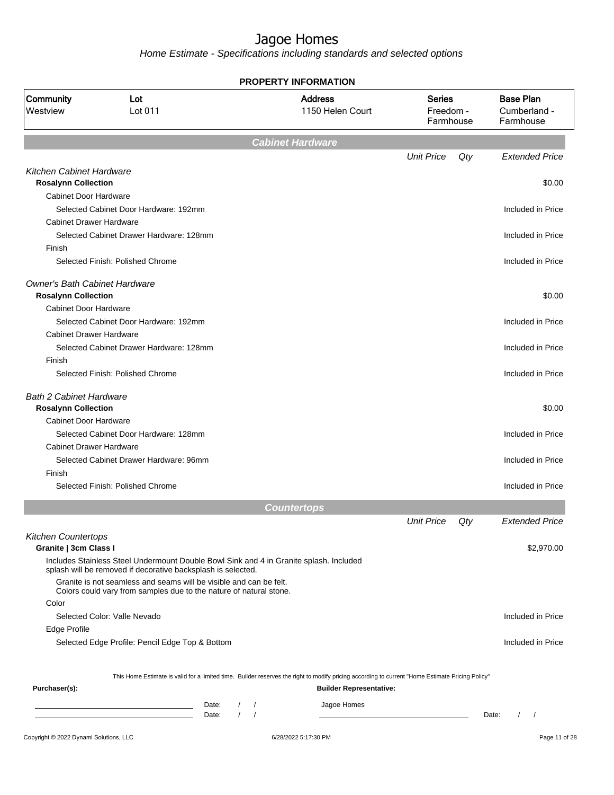|                                                                    | PROPERTY INFORMATION                                                                                                                                   |               |  |                                    |                                  |     |                                               |  |  |
|--------------------------------------------------------------------|--------------------------------------------------------------------------------------------------------------------------------------------------------|---------------|--|------------------------------------|----------------------------------|-----|-----------------------------------------------|--|--|
| Community<br>Westview                                              | Lot<br>Lot 011                                                                                                                                         |               |  | <b>Address</b><br>1150 Helen Court | Series<br>Freedom -<br>Farmhouse |     | <b>Base Plan</b><br>Cumberland -<br>Farmhouse |  |  |
|                                                                    |                                                                                                                                                        |               |  | Cabinet Hardware                   |                                  |     |                                               |  |  |
|                                                                    |                                                                                                                                                        |               |  |                                    | <b>Unit Price</b>                | Qty | <b>Extended Price</b>                         |  |  |
| Kitchen Cabinet Hardware                                           |                                                                                                                                                        |               |  |                                    |                                  |     |                                               |  |  |
| <b>Rosalynn Collection</b>                                         |                                                                                                                                                        |               |  |                                    |                                  |     | \$0.00                                        |  |  |
| <b>Cabinet Door Hardware</b>                                       | Selected Cabinet Door Hardware: 192mm                                                                                                                  |               |  |                                    |                                  |     |                                               |  |  |
| <b>Cabinet Drawer Hardware</b>                                     |                                                                                                                                                        |               |  |                                    |                                  |     | Included in Price                             |  |  |
|                                                                    | Selected Cabinet Drawer Hardware: 128mm                                                                                                                |               |  |                                    |                                  |     | Included in Price                             |  |  |
| Finish                                                             |                                                                                                                                                        |               |  |                                    |                                  |     |                                               |  |  |
|                                                                    | Selected Finish: Polished Chrome                                                                                                                       |               |  |                                    |                                  |     | Included in Price                             |  |  |
| <b>Owner's Bath Cabinet Hardware</b><br><b>Rosalynn Collection</b> |                                                                                                                                                        |               |  |                                    |                                  |     | \$0.00                                        |  |  |
| Cabinet Door Hardware                                              |                                                                                                                                                        |               |  |                                    |                                  |     |                                               |  |  |
|                                                                    | Selected Cabinet Door Hardware: 192mm                                                                                                                  |               |  |                                    |                                  |     | Included in Price                             |  |  |
| <b>Cabinet Drawer Hardware</b>                                     |                                                                                                                                                        |               |  |                                    |                                  |     |                                               |  |  |
|                                                                    | Selected Cabinet Drawer Hardware: 128mm                                                                                                                |               |  |                                    |                                  |     | Included in Price                             |  |  |
| Finish                                                             |                                                                                                                                                        |               |  |                                    |                                  |     |                                               |  |  |
|                                                                    | Selected Finish: Polished Chrome                                                                                                                       |               |  |                                    |                                  |     | Included in Price                             |  |  |
| <b>Bath 2 Cabinet Hardware</b><br><b>Rosalynn Collection</b>       |                                                                                                                                                        |               |  |                                    |                                  |     | \$0.00                                        |  |  |
| <b>Cabinet Door Hardware</b>                                       |                                                                                                                                                        |               |  |                                    |                                  |     |                                               |  |  |
|                                                                    | Selected Cabinet Door Hardware: 128mm                                                                                                                  |               |  |                                    |                                  |     | Included in Price                             |  |  |
| <b>Cabinet Drawer Hardware</b>                                     |                                                                                                                                                        |               |  |                                    |                                  |     |                                               |  |  |
|                                                                    | Selected Cabinet Drawer Hardware: 96mm                                                                                                                 |               |  |                                    |                                  |     | Included in Price                             |  |  |
| Finish                                                             |                                                                                                                                                        |               |  |                                    |                                  |     |                                               |  |  |
|                                                                    | Selected Finish: Polished Chrome                                                                                                                       |               |  |                                    |                                  |     | Included in Price                             |  |  |
|                                                                    |                                                                                                                                                        |               |  | <b>Countertops</b>                 |                                  |     |                                               |  |  |
|                                                                    |                                                                                                                                                        |               |  |                                    | <b>Unit Price</b>                | Qty | <b>Extended Price</b>                         |  |  |
| <b>Kitchen Countertops</b><br>Granite   3cm Class I                |                                                                                                                                                        |               |  |                                    |                                  |     | \$2,970.00                                    |  |  |
|                                                                    | Includes Stainless Steel Undermount Double Bowl Sink and 4 in Granite splash. Included<br>splash will be removed if decorative backsplash is selected. |               |  |                                    |                                  |     |                                               |  |  |
|                                                                    | Granite is not seamless and seams will be visible and can be felt.<br>Colors could vary from samples due to the nature of natural stone.               |               |  |                                    |                                  |     |                                               |  |  |
| Color                                                              |                                                                                                                                                        |               |  |                                    |                                  |     |                                               |  |  |
|                                                                    | Selected Color: Valle Nevado                                                                                                                           |               |  |                                    |                                  |     | Included in Price                             |  |  |
| Edge Profile                                                       |                                                                                                                                                        |               |  |                                    |                                  |     |                                               |  |  |
|                                                                    | Selected Edge Profile: Pencil Edge Top & Bottom                                                                                                        |               |  |                                    |                                  |     | Included in Price                             |  |  |
|                                                                    | This Home Estimate is valid for a limited time. Builder reserves the right to modify pricing according to current "Home Estimate Pricing Policy"       |               |  |                                    |                                  |     |                                               |  |  |
| Purchaser(s):                                                      |                                                                                                                                                        |               |  | <b>Builder Representative:</b>     |                                  |     |                                               |  |  |
|                                                                    | Date:                                                                                                                                                  | $\frac{1}{2}$ |  | Jagoe Homes                        |                                  |     |                                               |  |  |
|                                                                    | Date:                                                                                                                                                  | $1 \quad 1$   |  |                                    |                                  |     | Date:<br>$\prime$<br>$\overline{\phantom{a}}$ |  |  |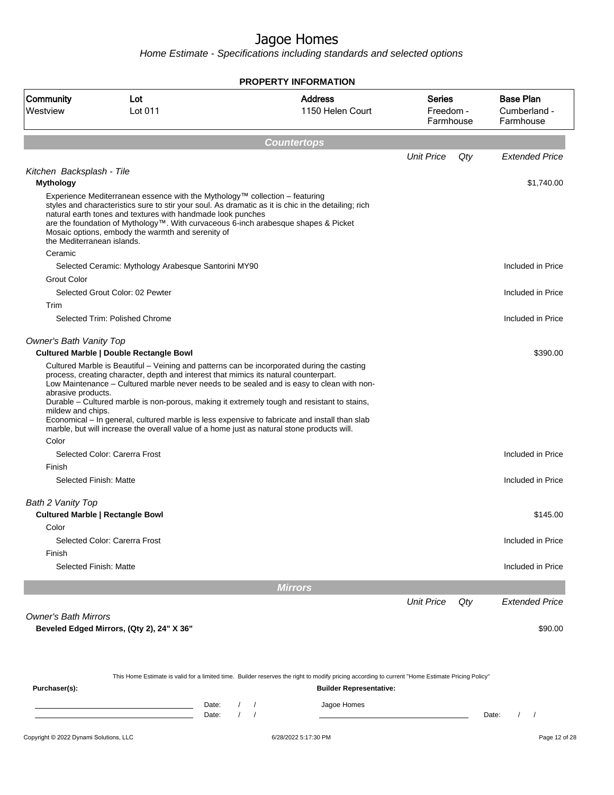|                                               |                                                                                                                                                                                                                                                                                       | <b>PROPERTY INFORMATION</b>                                                                                                                                                                                                                                                               |                                         |                                               |
|-----------------------------------------------|---------------------------------------------------------------------------------------------------------------------------------------------------------------------------------------------------------------------------------------------------------------------------------------|-------------------------------------------------------------------------------------------------------------------------------------------------------------------------------------------------------------------------------------------------------------------------------------------|-----------------------------------------|-----------------------------------------------|
| Community<br>Westview                         | Lot<br>Lot 011                                                                                                                                                                                                                                                                        | <b>Address</b><br>1150 Helen Court                                                                                                                                                                                                                                                        | <b>Series</b><br>Freedom -<br>Farmhouse | <b>Base Plan</b><br>Cumberland -<br>Farmhouse |
|                                               |                                                                                                                                                                                                                                                                                       | <b>Countertops</b>                                                                                                                                                                                                                                                                        |                                         |                                               |
|                                               |                                                                                                                                                                                                                                                                                       |                                                                                                                                                                                                                                                                                           | <b>Unit Price</b><br>Qty                | <b>Extended Price</b>                         |
| Kitchen Backsplash - Tile<br><b>Mythology</b> |                                                                                                                                                                                                                                                                                       |                                                                                                                                                                                                                                                                                           |                                         | \$1,740.00                                    |
| the Mediterranean islands.                    | Experience Mediterranean essence with the Mythology™ collection - featuring<br>natural earth tones and textures with handmade look punches<br>are the foundation of Mythology™. With curvaceous 6-inch arabesque shapes & Picket<br>Mosaic options, embody the warmth and serenity of | styles and characteristics sure to stir your soul. As dramatic as it is chic in the detailing; rich                                                                                                                                                                                       |                                         |                                               |
| Ceramic                                       |                                                                                                                                                                                                                                                                                       |                                                                                                                                                                                                                                                                                           |                                         |                                               |
|                                               | Selected Ceramic: Mythology Arabesque Santorini MY90                                                                                                                                                                                                                                  |                                                                                                                                                                                                                                                                                           |                                         | Included in Price                             |
| <b>Grout Color</b>                            | Selected Grout Color: 02 Pewter                                                                                                                                                                                                                                                       |                                                                                                                                                                                                                                                                                           |                                         | Included in Price                             |
| Trim                                          |                                                                                                                                                                                                                                                                                       |                                                                                                                                                                                                                                                                                           |                                         |                                               |
|                                               | Selected Trim: Polished Chrome                                                                                                                                                                                                                                                        |                                                                                                                                                                                                                                                                                           |                                         | Included in Price                             |
| <b>Owner's Bath Vanity Top</b>                | <b>Cultured Marble   Double Rectangle Bowl</b>                                                                                                                                                                                                                                        |                                                                                                                                                                                                                                                                                           |                                         | \$390.00                                      |
| abrasive products.<br>mildew and chips.       | Cultured Marble is Beautiful – Veining and patterns can be incorporated during the casting<br>process, creating character, depth and interest that mimics its natural counterpart.<br>marble, but will increase the overall value of a home just as natural stone products will.      | Low Maintenance - Cultured marble never needs to be sealed and is easy to clean with non-<br>Durable - Cultured marble is non-porous, making it extremely tough and resistant to stains,<br>Economical - In general, cultured marble is less expensive to fabricate and install than slab |                                         |                                               |
| Color                                         |                                                                                                                                                                                                                                                                                       |                                                                                                                                                                                                                                                                                           |                                         |                                               |
|                                               | Selected Color: Carerra Frost                                                                                                                                                                                                                                                         |                                                                                                                                                                                                                                                                                           |                                         | Included in Price                             |
| Finish                                        |                                                                                                                                                                                                                                                                                       |                                                                                                                                                                                                                                                                                           |                                         |                                               |
| Selected Finish: Matte                        |                                                                                                                                                                                                                                                                                       |                                                                                                                                                                                                                                                                                           |                                         | Included in Price                             |
| Bath 2 Vanity Top                             | <b>Cultured Marble   Rectangle Bowl</b>                                                                                                                                                                                                                                               |                                                                                                                                                                                                                                                                                           |                                         | \$145.00                                      |
| Color                                         |                                                                                                                                                                                                                                                                                       |                                                                                                                                                                                                                                                                                           |                                         |                                               |
|                                               | Selected Color: Carerra Frost                                                                                                                                                                                                                                                         |                                                                                                                                                                                                                                                                                           |                                         | Included in Price                             |
| Finish<br>Selected Finish: Matte              |                                                                                                                                                                                                                                                                                       |                                                                                                                                                                                                                                                                                           |                                         | Included in Price                             |
|                                               |                                                                                                                                                                                                                                                                                       | <b>Mirrors</b>                                                                                                                                                                                                                                                                            |                                         |                                               |
|                                               |                                                                                                                                                                                                                                                                                       |                                                                                                                                                                                                                                                                                           | <b>Unit Price</b><br>Qty                | <b>Extended Price</b>                         |
| <b>Owner's Bath Mirrors</b>                   |                                                                                                                                                                                                                                                                                       |                                                                                                                                                                                                                                                                                           |                                         |                                               |
|                                               | Beveled Edged Mirrors, (Qty 2), 24" X 36"                                                                                                                                                                                                                                             |                                                                                                                                                                                                                                                                                           |                                         | \$90.00                                       |
|                                               |                                                                                                                                                                                                                                                                                       | This Home Estimate is valid for a limited time. Builder reserves the right to modify pricing according to current "Home Estimate Pricing Policy"                                                                                                                                          |                                         |                                               |
| Purchaser(s):                                 |                                                                                                                                                                                                                                                                                       | <b>Builder Representative:</b>                                                                                                                                                                                                                                                            |                                         |                                               |
|                                               | Date:<br>Date:                                                                                                                                                                                                                                                                        | Jagoe Homes<br>$\sqrt{2}$<br>$\prime$<br>$\prime$<br>$\prime$                                                                                                                                                                                                                             |                                         | Date:<br>$\sqrt{2}$                           |
| Copyright © 2022 Dynami Solutions, LLC        |                                                                                                                                                                                                                                                                                       | 6/28/2022 5:17:30 PM                                                                                                                                                                                                                                                                      |                                         | Page 12 of 28                                 |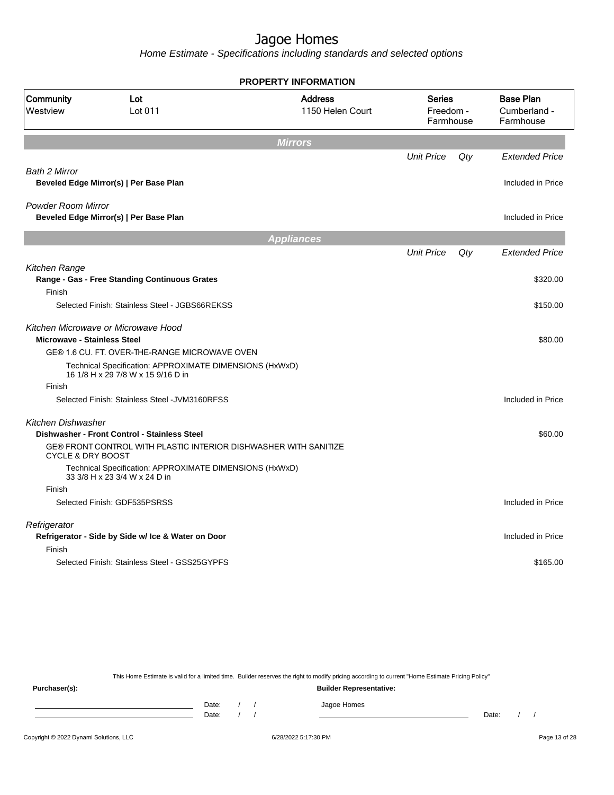Home Estimate - Specifications including standards and selected options

|                                    |                                                                                               | <b>PROPERTY INFORMATION</b>        |                                         |     |                                               |
|------------------------------------|-----------------------------------------------------------------------------------------------|------------------------------------|-----------------------------------------|-----|-----------------------------------------------|
| Community<br>Westview              | Lot<br>Lot 011                                                                                | <b>Address</b><br>1150 Helen Court | <b>Series</b><br>Freedom -<br>Farmhouse |     | <b>Base Plan</b><br>Cumberland -<br>Farmhouse |
|                                    |                                                                                               | <b>Mirrors</b>                     |                                         |     |                                               |
|                                    |                                                                                               |                                    | <b>Unit Price</b>                       | Qty | <b>Extended Price</b>                         |
| <b>Bath 2 Mirror</b>               | Beveled Edge Mirror(s)   Per Base Plan                                                        |                                    |                                         |     | Included in Price                             |
| <b>Powder Room Mirror</b>          | Beveled Edge Mirror(s)   Per Base Plan                                                        |                                    |                                         |     | Included in Price                             |
|                                    |                                                                                               | <b>Appliances</b>                  |                                         |     |                                               |
|                                    |                                                                                               |                                    | <b>Unit Price</b>                       | Qty | <b>Extended Price</b>                         |
| Kitchen Range                      | Range - Gas - Free Standing Continuous Grates                                                 |                                    |                                         |     | \$320.00                                      |
| Finish                             | Selected Finish: Stainless Steel - JGBS66REKSS                                                |                                    |                                         |     | \$150.00                                      |
| <b>Microwave - Stainless Steel</b> | Kitchen Microwave or Microwave Hood                                                           |                                    |                                         |     | \$80.00                                       |
|                                    | GE® 1.6 CU. FT. OVER-THE-RANGE MICROWAVE OVEN                                                 |                                    |                                         |     |                                               |
|                                    | Technical Specification: APPROXIMATE DIMENSIONS (HxWxD)<br>16 1/8 H x 29 7/8 W x 15 9/16 D in |                                    |                                         |     |                                               |
| Finish                             |                                                                                               |                                    |                                         |     |                                               |
|                                    | Selected Finish: Stainless Steel - JVM3160RFSS                                                |                                    |                                         |     | Included in Price                             |
| <b>Kitchen Dishwasher</b>          | Dishwasher - Front Control - Stainless Steel                                                  |                                    |                                         |     | \$60.00                                       |
| <b>CYCLE &amp; DRY BOOST</b>       | GE® FRONT CONTROL WITH PLASTIC INTERIOR DISHWASHER WITH SANITIZE                              |                                    |                                         |     |                                               |
|                                    | Technical Specification: APPROXIMATE DIMENSIONS (HxWxD)<br>33 3/8 H x 23 3/4 W x 24 D in      |                                    |                                         |     |                                               |
| Finish                             |                                                                                               |                                    |                                         |     |                                               |
|                                    | Selected Finish: GDF535PSRSS                                                                  |                                    |                                         |     | Included in Price                             |
| Refrigerator                       | Refrigerator - Side by Side w/ Ice & Water on Door                                            |                                    |                                         |     | Included in Price                             |
| Finish                             |                                                                                               |                                    |                                         |     |                                               |
|                                    | Selected Finish: Stainless Steel - GSS25GYPFS                                                 |                                    |                                         |     | \$165.00                                      |
|                                    |                                                                                               |                                    |                                         |     |                                               |

This Home Estimate is valid for a limited time. Builder reserves the right to modify pricing according to current "Home Estimate Pricing Policy"

**Purchaser(s): Builder Representative:** Date: / / Jagoe Homes<br>Date: / / Jagoe Homes Date: / / Date: / /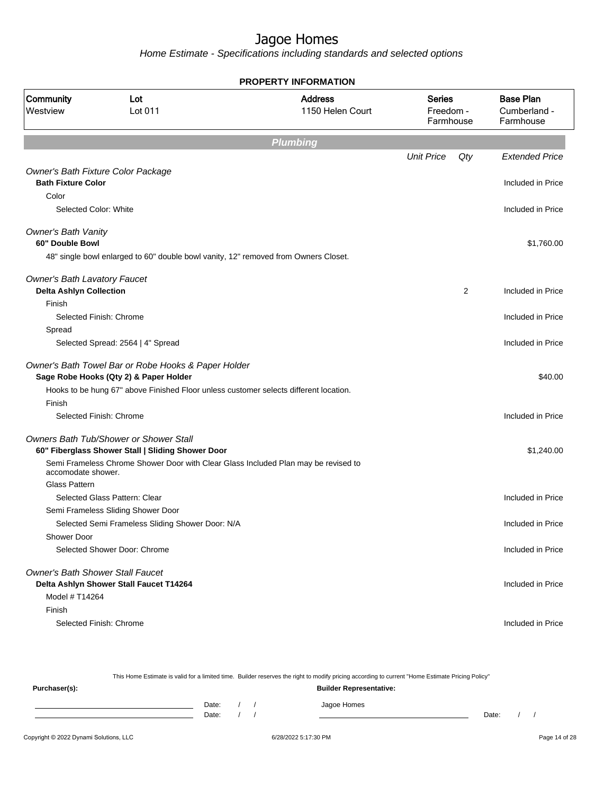| <b>PROPERTY INFORMATION</b>                                           |                                                                                               |                 |                                  |     |                                               |  |  |  |  |  |
|-----------------------------------------------------------------------|-----------------------------------------------------------------------------------------------|-----------------|----------------------------------|-----|-----------------------------------------------|--|--|--|--|--|
| Community<br>Westview                                                 | <b>Address</b><br>Lot<br>Lot 011<br>1150 Helen Court                                          |                 | Series<br>Freedom -<br>Farmhouse |     | <b>Base Plan</b><br>Cumberland -<br>Farmhouse |  |  |  |  |  |
|                                                                       |                                                                                               | <b>Plumbing</b> |                                  |     |                                               |  |  |  |  |  |
|                                                                       |                                                                                               |                 | <b>Unit Price</b>                | Qty | <b>Extended Price</b>                         |  |  |  |  |  |
|                                                                       | Owner's Bath Fixture Color Package                                                            |                 |                                  |     |                                               |  |  |  |  |  |
| <b>Bath Fixture Color</b>                                             |                                                                                               |                 |                                  |     | Included in Price                             |  |  |  |  |  |
| Color                                                                 |                                                                                               |                 |                                  |     |                                               |  |  |  |  |  |
| Selected Color: White                                                 |                                                                                               |                 |                                  |     | Included in Price                             |  |  |  |  |  |
| <b>Owner's Bath Vanity</b><br>60" Double Bowl                         |                                                                                               |                 |                                  |     | \$1,760.00                                    |  |  |  |  |  |
|                                                                       | 48" single bowl enlarged to 60" double bowl vanity, 12" removed from Owners Closet.           |                 |                                  |     |                                               |  |  |  |  |  |
|                                                                       |                                                                                               |                 |                                  |     |                                               |  |  |  |  |  |
| <b>Owner's Bath Lavatory Faucet</b><br><b>Delta Ashlyn Collection</b> |                                                                                               |                 |                                  | 2   | Included in Price                             |  |  |  |  |  |
| Finish                                                                |                                                                                               |                 |                                  |     |                                               |  |  |  |  |  |
|                                                                       | Selected Finish: Chrome                                                                       |                 |                                  |     | Included in Price                             |  |  |  |  |  |
| Spread                                                                |                                                                                               |                 |                                  |     |                                               |  |  |  |  |  |
|                                                                       | Selected Spread: 2564   4" Spread                                                             |                 |                                  |     | Included in Price                             |  |  |  |  |  |
|                                                                       | Owner's Bath Towel Bar or Robe Hooks & Paper Holder<br>Sage Robe Hooks (Qty 2) & Paper Holder |                 |                                  |     | \$40.00                                       |  |  |  |  |  |
|                                                                       | Hooks to be hung 67" above Finished Floor unless customer selects different location.         |                 |                                  |     |                                               |  |  |  |  |  |
| Finish                                                                |                                                                                               |                 |                                  |     |                                               |  |  |  |  |  |
|                                                                       | Selected Finish: Chrome                                                                       |                 |                                  |     | Included in Price                             |  |  |  |  |  |
|                                                                       | Owners Bath Tub/Shower or Shower Stall                                                        |                 |                                  |     |                                               |  |  |  |  |  |
|                                                                       | 60" Fiberglass Shower Stall   Sliding Shower Door                                             |                 |                                  |     | \$1,240.00                                    |  |  |  |  |  |
| accomodate shower.                                                    | Semi Frameless Chrome Shower Door with Clear Glass Included Plan may be revised to            |                 |                                  |     |                                               |  |  |  |  |  |
| <b>Glass Pattern</b>                                                  |                                                                                               |                 |                                  |     |                                               |  |  |  |  |  |
|                                                                       | Selected Glass Pattern: Clear                                                                 |                 |                                  |     | Included in Price                             |  |  |  |  |  |
|                                                                       | Semi Frameless Sliding Shower Door                                                            |                 |                                  |     |                                               |  |  |  |  |  |
|                                                                       | Selected Semi Frameless Sliding Shower Door: N/A                                              |                 |                                  |     | Included in Price                             |  |  |  |  |  |
| <b>Shower Door</b>                                                    |                                                                                               |                 |                                  |     |                                               |  |  |  |  |  |
|                                                                       | Selected Shower Door: Chrome                                                                  |                 |                                  |     | Included in Price                             |  |  |  |  |  |
|                                                                       | <b>Owner's Bath Shower Stall Faucet</b>                                                       |                 |                                  |     |                                               |  |  |  |  |  |
|                                                                       | Delta Ashlyn Shower Stall Faucet T14264                                                       |                 |                                  |     | Included in Price                             |  |  |  |  |  |
| Model # T14264                                                        |                                                                                               |                 |                                  |     |                                               |  |  |  |  |  |
| Finish                                                                |                                                                                               |                 |                                  |     |                                               |  |  |  |  |  |
|                                                                       | Selected Finish: Chrome                                                                       |                 |                                  |     | Included in Price                             |  |  |  |  |  |

|               |       |  | This Home Estimate is valid for a limited time. Builder reserves the right to modify pricing according to current "Home Estimate Pricing Policy" |       |  |
|---------------|-------|--|--------------------------------------------------------------------------------------------------------------------------------------------------|-------|--|
| Purchaser(s): |       |  | <b>Builder Representative:</b>                                                                                                                   |       |  |
|               | Date: |  | Jagoe Homes                                                                                                                                      |       |  |
|               | Date: |  |                                                                                                                                                  | Date: |  |
|               |       |  |                                                                                                                                                  |       |  |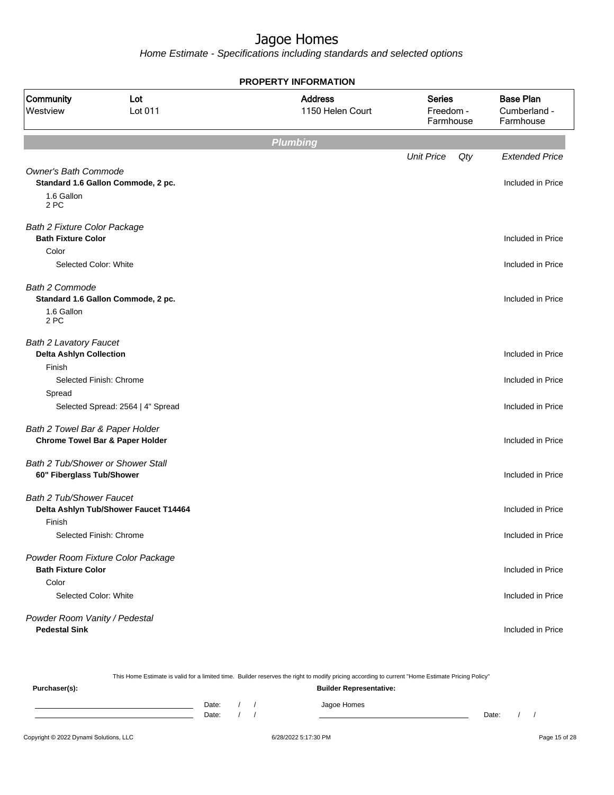| <b>PROPERTY INFORMATION</b>                                               |                                                              |                                    |                                         |     |                                               |  |  |  |  |  |
|---------------------------------------------------------------------------|--------------------------------------------------------------|------------------------------------|-----------------------------------------|-----|-----------------------------------------------|--|--|--|--|--|
| Community<br>Lot<br>Lot 011<br>Westview                                   |                                                              | <b>Address</b><br>1150 Helen Court | <b>Series</b><br>Freedom -<br>Farmhouse |     | <b>Base Plan</b><br>Cumberland -<br>Farmhouse |  |  |  |  |  |
|                                                                           |                                                              | <b>Plumbing</b>                    |                                         |     |                                               |  |  |  |  |  |
|                                                                           |                                                              |                                    | <b>Unit Price</b>                       | Qty | <b>Extended Price</b>                         |  |  |  |  |  |
| <b>Owner's Bath Commode</b><br>1.6 Gallon<br>2 PC                         | Standard 1.6 Gallon Commode, 2 pc.                           |                                    |                                         |     | Included in Price                             |  |  |  |  |  |
| <b>Bath 2 Fixture Color Package</b><br><b>Bath Fixture Color</b>          |                                                              |                                    |                                         |     | Included in Price                             |  |  |  |  |  |
| Color<br>Selected Color: White                                            |                                                              |                                    |                                         |     | Included in Price                             |  |  |  |  |  |
| <b>Bath 2 Commode</b><br>1.6 Gallon<br>2 PC                               | Standard 1.6 Gallon Commode, 2 pc.                           |                                    |                                         |     | Included in Price                             |  |  |  |  |  |
| <b>Bath 2 Lavatory Faucet</b><br><b>Delta Ashlyn Collection</b><br>Finish |                                                              |                                    |                                         |     | Included in Price                             |  |  |  |  |  |
| Spread                                                                    | Selected Finish: Chrome<br>Selected Spread: 2564   4" Spread |                                    |                                         |     | Included in Price<br>Included in Price        |  |  |  |  |  |
| Bath 2 Towel Bar & Paper Holder                                           | <b>Chrome Towel Bar &amp; Paper Holder</b>                   |                                    |                                         |     | Included in Price                             |  |  |  |  |  |
| Bath 2 Tub/Shower or Shower Stall<br>60" Fiberglass Tub/Shower            |                                                              |                                    |                                         |     | Included in Price                             |  |  |  |  |  |
| <b>Bath 2 Tub/Shower Faucet</b><br>Finish                                 | Delta Ashlyn Tub/Shower Faucet T14464                        |                                    |                                         |     | Included in Price                             |  |  |  |  |  |
|                                                                           | Selected Finish: Chrome                                      |                                    |                                         |     | Included in Price                             |  |  |  |  |  |
| <b>Bath Fixture Color</b><br>Color                                        | Powder Room Fixture Color Package                            |                                    |                                         |     | Included in Price                             |  |  |  |  |  |
| Selected Color: White                                                     |                                                              |                                    |                                         |     | Included in Price                             |  |  |  |  |  |
| Powder Room Vanity / Pedestal<br><b>Pedestal Sink</b>                     |                                                              |                                    |                                         |     | Included in Price                             |  |  |  |  |  |

|                                        |                |  | This Home Estimate is valid for a limited time. Builder reserves the right to modify pricing according to current "Home Estimate Pricing Policy" |       |  |               |
|----------------------------------------|----------------|--|--------------------------------------------------------------------------------------------------------------------------------------------------|-------|--|---------------|
| Purchaser(s):                          |                |  | <b>Builder Representative:</b>                                                                                                                   |       |  |               |
|                                        | Date:<br>Date: |  | Jagoe Homes                                                                                                                                      | Date: |  |               |
| Copyright © 2022 Dynami Solutions, LLC |                |  | 6/28/2022 5:17:30 PM                                                                                                                             |       |  | Page 15 of 28 |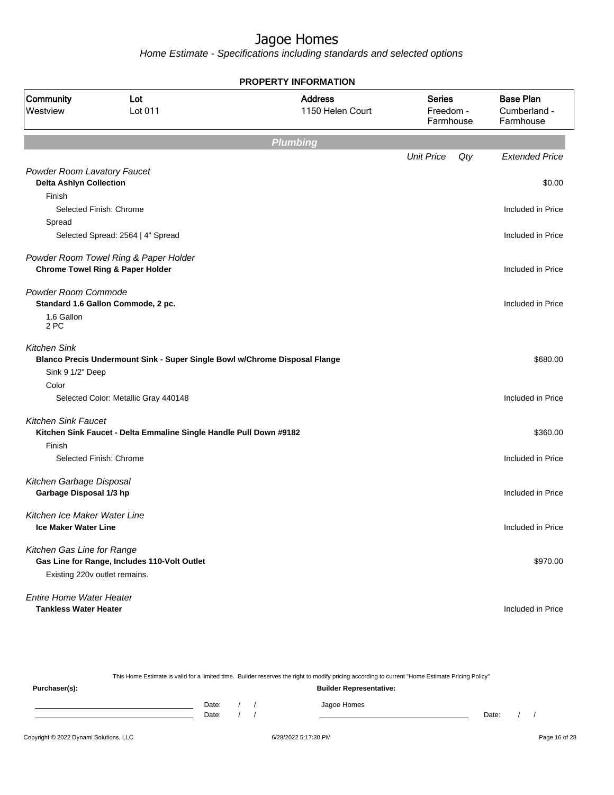|                                 |                                                                            | <b>PROPERTY INFORMATION</b>        |                                         |                                               |
|---------------------------------|----------------------------------------------------------------------------|------------------------------------|-----------------------------------------|-----------------------------------------------|
| Community<br>Westview           | Lot<br>Lot 011                                                             | <b>Address</b><br>1150 Helen Court | <b>Series</b><br>Freedom -<br>Farmhouse | <b>Base Plan</b><br>Cumberland -<br>Farmhouse |
|                                 |                                                                            | <b>Plumbing</b>                    |                                         |                                               |
|                                 |                                                                            |                                    | <b>Unit Price</b>                       | Qty<br><b>Extended Price</b>                  |
| Powder Room Lavatory Faucet     |                                                                            |                                    |                                         |                                               |
| <b>Delta Ashlyn Collection</b>  |                                                                            |                                    |                                         | \$0.00                                        |
| Finish                          |                                                                            |                                    |                                         |                                               |
|                                 | Selected Finish: Chrome                                                    |                                    |                                         | Included in Price                             |
| Spread                          |                                                                            |                                    |                                         |                                               |
|                                 | Selected Spread: 2564   4" Spread                                          |                                    |                                         | Included in Price                             |
|                                 | Powder Room Towel Ring & Paper Holder                                      |                                    |                                         |                                               |
|                                 | <b>Chrome Towel Ring &amp; Paper Holder</b>                                |                                    |                                         | Included in Price                             |
| Powder Room Commode             |                                                                            |                                    |                                         |                                               |
|                                 | Standard 1.6 Gallon Commode, 2 pc.                                         |                                    |                                         | Included in Price                             |
| 1.6 Gallon<br>2 PC              |                                                                            |                                    |                                         |                                               |
| <b>Kitchen Sink</b>             |                                                                            |                                    |                                         |                                               |
|                                 | Blanco Precis Undermount Sink - Super Single Bowl w/Chrome Disposal Flange |                                    |                                         | \$680.00                                      |
| Sink 9 1/2" Deep                |                                                                            |                                    |                                         |                                               |
| Color                           |                                                                            |                                    |                                         |                                               |
|                                 | Selected Color: Metallic Gray 440148                                       |                                    |                                         | Included in Price                             |
| <b>Kitchen Sink Faucet</b>      |                                                                            |                                    |                                         |                                               |
|                                 | Kitchen Sink Faucet - Delta Emmaline Single Handle Pull Down #9182         |                                    |                                         | \$360.00                                      |
| Finish                          |                                                                            |                                    |                                         |                                               |
|                                 | Selected Finish: Chrome                                                    |                                    |                                         | Included in Price                             |
| Kitchen Garbage Disposal        |                                                                            |                                    |                                         |                                               |
| Garbage Disposal 1/3 hp         |                                                                            |                                    |                                         | Included in Price                             |
| Kitchen Ice Maker Water Line    |                                                                            |                                    |                                         |                                               |
| <b>Ice Maker Water Line</b>     |                                                                            |                                    |                                         | Included in Price                             |
| Kitchen Gas Line for Range      |                                                                            |                                    |                                         |                                               |
|                                 | Gas Line for Range, Includes 110-Volt Outlet                               |                                    |                                         | \$970.00                                      |
| Existing 220v outlet remains.   |                                                                            |                                    |                                         |                                               |
| <b>Entire Home Water Heater</b> |                                                                            |                                    |                                         |                                               |
| <b>Tankless Water Heater</b>    |                                                                            |                                    |                                         | Included in Price                             |

|               |       |  | This Home Estimate is valid for a limited time. Builder reserves the right to modify pricing according to current "Home Estimate Pricing Policy" |       |  |
|---------------|-------|--|--------------------------------------------------------------------------------------------------------------------------------------------------|-------|--|
| Purchaser(s): |       |  | <b>Builder Representative:</b>                                                                                                                   |       |  |
|               | Date: |  | Jagoe Homes                                                                                                                                      |       |  |
|               | Date: |  |                                                                                                                                                  | Date: |  |
|               |       |  |                                                                                                                                                  |       |  |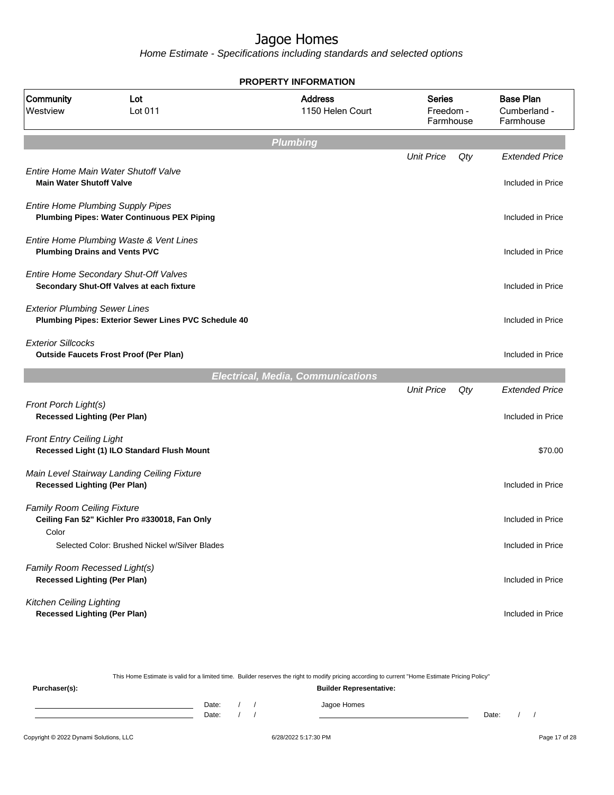|                                                                      |                                                                                                | <b>PROPERTY INFORMATION</b>              |                                         |     |                                               |
|----------------------------------------------------------------------|------------------------------------------------------------------------------------------------|------------------------------------------|-----------------------------------------|-----|-----------------------------------------------|
| Community<br>Westview                                                | Lot<br>Lot 011                                                                                 | <b>Address</b><br>1150 Helen Court       | <b>Series</b><br>Freedom -<br>Farmhouse |     | <b>Base Plan</b><br>Cumberland -<br>Farmhouse |
|                                                                      |                                                                                                | <b>Plumbing</b>                          |                                         |     |                                               |
|                                                                      |                                                                                                |                                          | <b>Unit Price</b>                       | Qty | <b>Extended Price</b>                         |
| <b>Main Water Shutoff Valve</b>                                      | Entire Home Main Water Shutoff Valve                                                           |                                          |                                         |     | Included in Price                             |
|                                                                      | <b>Entire Home Plumbing Supply Pipes</b><br><b>Plumbing Pipes: Water Continuous PEX Piping</b> |                                          |                                         |     | Included in Price                             |
|                                                                      | Entire Home Plumbing Waste & Vent Lines<br><b>Plumbing Drains and Vents PVC</b>                |                                          |                                         |     | Included in Price                             |
|                                                                      | Entire Home Secondary Shut-Off Valves<br>Secondary Shut-Off Valves at each fixture             |                                          |                                         |     | Included in Price                             |
| <b>Exterior Plumbing Sewer Lines</b>                                 | Plumbing Pipes: Exterior Sewer Lines PVC Schedule 40                                           |                                          |                                         |     | Included in Price                             |
| <b>Exterior Sillcocks</b>                                            | <b>Outside Faucets Frost Proof (Per Plan)</b>                                                  |                                          |                                         |     | Included in Price                             |
|                                                                      |                                                                                                | <b>Electrical, Media, Communications</b> |                                         |     |                                               |
|                                                                      |                                                                                                |                                          | <b>Unit Price</b>                       | Qty | <b>Extended Price</b>                         |
| Front Porch Light(s)<br><b>Recessed Lighting (Per Plan)</b>          |                                                                                                |                                          |                                         |     | Included in Price                             |
| <b>Front Entry Ceiling Light</b>                                     | Recessed Light (1) ILO Standard Flush Mount                                                    |                                          |                                         |     | \$70.00                                       |
| <b>Recessed Lighting (Per Plan)</b>                                  | Main Level Stairway Landing Ceiling Fixture                                                    |                                          |                                         |     | Included in Price                             |
| <b>Family Room Ceiling Fixture</b>                                   | Ceiling Fan 52" Kichler Pro #330018, Fan Only                                                  |                                          |                                         |     | Included in Price                             |
| Color                                                                | Selected Color: Brushed Nickel w/Silver Blades                                                 |                                          |                                         |     | Included in Price                             |
| Family Room Recessed Light(s)<br><b>Recessed Lighting (Per Plan)</b> |                                                                                                |                                          |                                         |     | Included in Price                             |
| Kitchen Ceiling Lighting<br><b>Recessed Lighting (Per Plan)</b>      |                                                                                                |                                          |                                         |     | Included in Price                             |

| This Home Estimate is valid for a limited time. Builder reserves the right to modify pricing according to current "Home Estimate Pricing Policy" |                                |  |  |  |             |       |  |  |
|--------------------------------------------------------------------------------------------------------------------------------------------------|--------------------------------|--|--|--|-------------|-------|--|--|
| Purchaser(s):                                                                                                                                    | <b>Builder Representative:</b> |  |  |  |             |       |  |  |
|                                                                                                                                                  | Date:                          |  |  |  | Jagoe Homes |       |  |  |
|                                                                                                                                                  | Date:                          |  |  |  |             | Date: |  |  |
|                                                                                                                                                  |                                |  |  |  |             |       |  |  |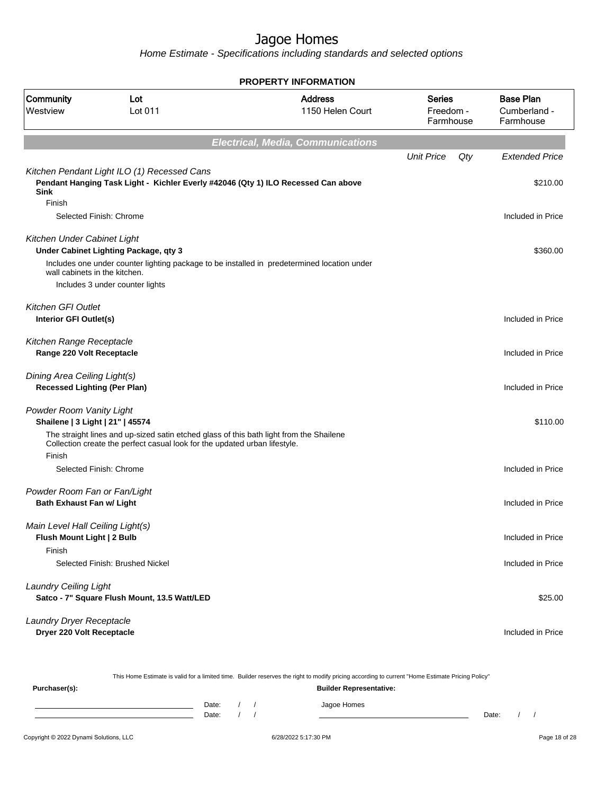Home Estimate - Specifications including standards and selected options

**Electrical, Media, Communications** Unit Price Qty Extended Price Kitchen Pendant Light ILO (1) Recessed Cans **Pendant Hanging Task Light - Kichler Everly #42046 (Qty 1) ILO Recessed Can above Sink** \$210.00 Finish Selected Finish: Chrome **Included** in Price Kitchen Under Cabinet Light **Under Cabinet Lighting Package, qty 3**  $$360.00$ Includes one under counter lighting package to be installed in predetermined location under wall cabinets in the kitchen. Includes 3 under counter lights Kitchen GFI Outlet **Interior GFI Outlet(s)** Included in Price Kitchen Range Receptacle **Range 220 Volt Receptacle Included in Price** Dining Area Ceiling Light(s) **Recessed Lighting (Per Plan)** Included in Price Powder Room Vanity Light **Shailene | 3 Light | 21" | 45574** \$110.00 The straight lines and up-sized satin etched glass of this bath light from the Shailene Collection create the perfect casual look for the updated urban lifestyle. Finish Selected Finish: Chrome **Included in Price** Powder Room Fan or Fan/Light **Bath Exhaust Fan w/ Light** Included in Price Main Level Hall Ceiling Light(s) **Flush Mount Light | 2 Bulb** Included in Price Finish Selected Finish: Brushed Nickel **Included in Price** Laundry Ceiling Light **Satco - 7" Square Flush Mount, 13.5 Watt/LED**  $$25.00$ Laundry Dryer Receptacle **Dryer 220 Volt Receptacle Included in Price PROPERTY INFORMATION** Freedom - Farmhouse Series 1150 Helen Court Address Westview Lot 011 Community Lot Cumberland - Farmhouse Base Plan

This Home Estimate is valid for a limited time. Builder reserves the right to modify pricing according to current "Home Estimate Pricing Policy" **Purchaser(s): Builder Representative:** Date: / / / Jagoe Homes Date: / / Date: / /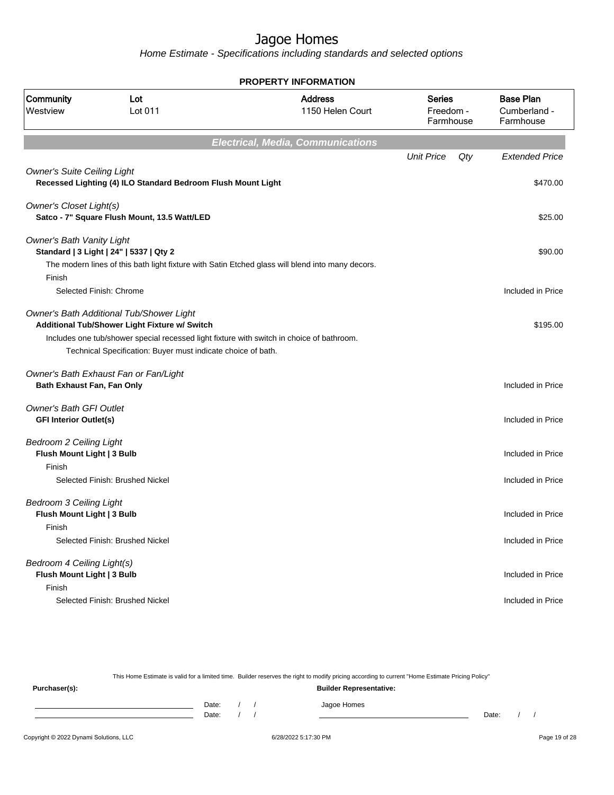Home Estimate - Specifications including standards and selected options

|                                                                        |                                                                                                                                                                                                                                                        | <b>PROPERTY INFORMATION</b>                                                                      |                                         |     |                                               |
|------------------------------------------------------------------------|--------------------------------------------------------------------------------------------------------------------------------------------------------------------------------------------------------------------------------------------------------|--------------------------------------------------------------------------------------------------|-----------------------------------------|-----|-----------------------------------------------|
| Community<br>Westview                                                  | Lot<br>Lot 011                                                                                                                                                                                                                                         | <b>Address</b><br>1150 Helen Court                                                               | <b>Series</b><br>Freedom -<br>Farmhouse |     | <b>Base Plan</b><br>Cumberland -<br>Farmhouse |
|                                                                        |                                                                                                                                                                                                                                                        | <b>Electrical, Media, Communications</b>                                                         |                                         |     |                                               |
|                                                                        |                                                                                                                                                                                                                                                        |                                                                                                  | <b>Unit Price</b>                       | Qty | <b>Extended Price</b>                         |
| <b>Owner's Suite Ceiling Light</b>                                     | Recessed Lighting (4) ILO Standard Bedroom Flush Mount Light                                                                                                                                                                                           |                                                                                                  |                                         |     | \$470.00                                      |
| <b>Owner's Closet Light(s)</b>                                         | Satco - 7" Square Flush Mount, 13.5 Watt/LED                                                                                                                                                                                                           |                                                                                                  |                                         |     | \$25.00                                       |
| <b>Owner's Bath Vanity Light</b>                                       | Standard   3 Light   24"   5337   Qty 2                                                                                                                                                                                                                | The modern lines of this bath light fixture with Satin Etched glass will blend into many decors. |                                         |     | \$90.00                                       |
| Finish                                                                 | Selected Finish: Chrome                                                                                                                                                                                                                                |                                                                                                  |                                         |     | Included in Price                             |
|                                                                        | Owner's Bath Additional Tub/Shower Light<br>Additional Tub/Shower Light Fixture w/ Switch<br>Includes one tub/shower special recessed light fixture with switch in choice of bathroom.<br>Technical Specification: Buyer must indicate choice of bath. |                                                                                                  |                                         |     | \$195.00                                      |
| Bath Exhaust Fan, Fan Only                                             | Owner's Bath Exhaust Fan or Fan/Light                                                                                                                                                                                                                  |                                                                                                  |                                         |     | Included in Price                             |
| <b>Owner's Bath GFI Outlet</b><br><b>GFI Interior Outlet(s)</b>        |                                                                                                                                                                                                                                                        |                                                                                                  |                                         |     | Included in Price                             |
| <b>Bedroom 2 Ceiling Light</b><br>Flush Mount Light   3 Bulb<br>Finish |                                                                                                                                                                                                                                                        |                                                                                                  |                                         |     | Included in Price                             |
|                                                                        | Selected Finish: Brushed Nickel                                                                                                                                                                                                                        |                                                                                                  |                                         |     | Included in Price                             |
| <b>Bedroom 3 Ceiling Light</b><br>Flush Mount Light   3 Bulb<br>Finish |                                                                                                                                                                                                                                                        |                                                                                                  |                                         |     | Included in Price                             |
|                                                                        | Selected Finish: Brushed Nickel                                                                                                                                                                                                                        |                                                                                                  |                                         |     | Included in Price                             |
| Bedroom 4 Ceiling Light(s)<br>Flush Mount Light   3 Bulb<br>Finish     |                                                                                                                                                                                                                                                        |                                                                                                  |                                         |     | Included in Price                             |
|                                                                        | Selected Finish: Brushed Nickel                                                                                                                                                                                                                        |                                                                                                  |                                         |     | Included in Price                             |

This Home Estimate is valid for a limited time. Builder reserves the right to modify pricing according to current "Home Estimate Pricing Policy" **Purchaser(s): Builder Representative:** Date: / / Jagoe Homes<br>Date: / / Jagoe Homes Date: / / Date: / /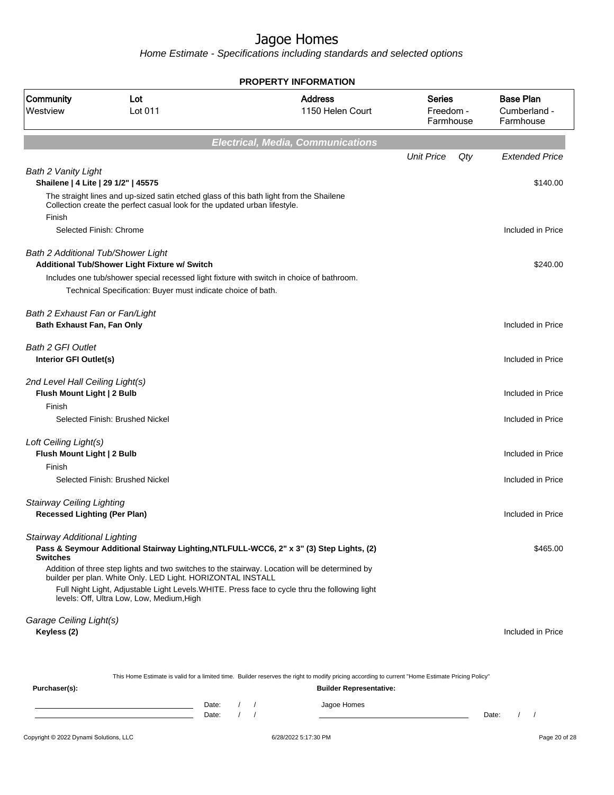Home Estimate - Specifications including standards and selected options

|                                                                         |                                                                                                                                                                       | <b>PROPERTY INFORMATION</b>                                                                                                                                                                      |                                  |                                               |
|-------------------------------------------------------------------------|-----------------------------------------------------------------------------------------------------------------------------------------------------------------------|--------------------------------------------------------------------------------------------------------------------------------------------------------------------------------------------------|----------------------------------|-----------------------------------------------|
| Community<br>Westview                                                   | Lot<br>Lot 011                                                                                                                                                        | <b>Address</b><br>1150 Helen Court                                                                                                                                                               | Series<br>Freedom -<br>Farmhouse | <b>Base Plan</b><br>Cumberland -<br>Farmhouse |
|                                                                         |                                                                                                                                                                       | <b>Electrical, Media, Communications</b>                                                                                                                                                         |                                  |                                               |
|                                                                         |                                                                                                                                                                       |                                                                                                                                                                                                  | <b>Unit Price</b><br>Qty         | <b>Extended Price</b>                         |
| <b>Bath 2 Vanity Light</b>                                              | Shailene   4 Lite   29 1/2"   45575                                                                                                                                   |                                                                                                                                                                                                  |                                  | \$140.00                                      |
|                                                                         | The straight lines and up-sized satin etched glass of this bath light from the Shailene<br>Collection create the perfect casual look for the updated urban lifestyle. |                                                                                                                                                                                                  |                                  |                                               |
| Finish                                                                  | Selected Finish: Chrome                                                                                                                                               |                                                                                                                                                                                                  |                                  | Included in Price                             |
|                                                                         | <b>Bath 2 Additional Tub/Shower Light</b><br>Additional Tub/Shower Light Fixture w/ Switch                                                                            |                                                                                                                                                                                                  |                                  | \$240.00                                      |
|                                                                         | Includes one tub/shower special recessed light fixture with switch in choice of bathroom.<br>Technical Specification: Buyer must indicate choice of bath.             |                                                                                                                                                                                                  |                                  |                                               |
| Bath 2 Exhaust Fan or Fan/Light<br>Bath Exhaust Fan, Fan Only           |                                                                                                                                                                       |                                                                                                                                                                                                  |                                  | Included in Price                             |
| <b>Bath 2 GFI Outlet</b><br>Interior GFI Outlet(s)                      |                                                                                                                                                                       |                                                                                                                                                                                                  |                                  | Included in Price                             |
| 2nd Level Hall Ceiling Light(s)<br>Flush Mount Light   2 Bulb           |                                                                                                                                                                       |                                                                                                                                                                                                  |                                  | Included in Price                             |
| Finish                                                                  | Selected Finish: Brushed Nickel                                                                                                                                       |                                                                                                                                                                                                  |                                  | Included in Price                             |
| Loft Ceiling Light(s)<br>Flush Mount Light   2 Bulb                     |                                                                                                                                                                       |                                                                                                                                                                                                  |                                  | Included in Price                             |
| Finish                                                                  | Selected Finish: Brushed Nickel                                                                                                                                       |                                                                                                                                                                                                  |                                  | Included in Price                             |
| <b>Stairway Ceiling Lighting</b><br><b>Recessed Lighting (Per Plan)</b> |                                                                                                                                                                       |                                                                                                                                                                                                  |                                  | Included in Price                             |
| <b>Stairway Additional Lighting</b><br><b>Switches</b>                  |                                                                                                                                                                       | Pass & Seymour Additional Stairway Lighting, NTLFULL-WCC6, 2" x 3" (3) Step Lights, (2)                                                                                                          |                                  | \$465.00                                      |
|                                                                         | builder per plan. White Only. LED Light. HORIZONTAL INSTALL                                                                                                           | Addition of three step lights and two switches to the stairway. Location will be determined by<br>Full Night Light, Adjustable Light Levels. WHITE. Press face to cycle thru the following light |                                  |                                               |
|                                                                         | levels: Off, Ultra Low, Low, Medium, High                                                                                                                             |                                                                                                                                                                                                  |                                  |                                               |
| Garage Ceiling Light(s)<br>Keyless (2)                                  |                                                                                                                                                                       |                                                                                                                                                                                                  |                                  | Included in Price                             |
|                                                                         |                                                                                                                                                                       | This Home Estimate is valid for a limited time. Builder reserves the right to modify pricing according to current "Home Estimate Pricing Policy"                                                 |                                  |                                               |
| Purchaser(s):                                                           |                                                                                                                                                                       | <b>Builder Representative:</b>                                                                                                                                                                   |                                  |                                               |

Date: / / Jagoe Homes<br>Date: / / Jagoe Homes Date: / / Date: / /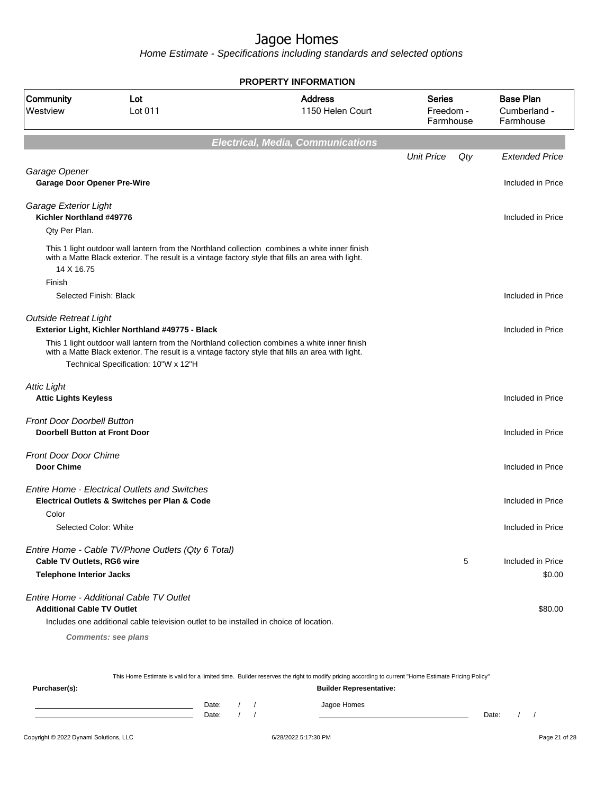Home Estimate - Specifications including standards and selected options

**Electrical, Media, Communications** Unit Price Qty Extended Price Garage Opener **Garage Door Opener Pre-Wire** Included in Price Included in Price Included in Price Garage Exterior Light **Kichler Northland #49776** Included in Price Qty Per Plan. This 1 light outdoor wall lantern from the Northland collection combines a white inner finish with a Matte Black exterior. The result is a vintage factory style that fills an area with light. 14 X 16.75 Finish Selected Finish: Black Included in Price Outside Retreat Light **Exterior Light, Kichler Northland #49775 - Black Included in Price** Included in Price This 1 light outdoor wall lantern from the Northland collection combines a white inner finish with a Matte Black exterior. The result is a vintage factory style that fills an area with light. Technical Specification: 10"W x 12"H Attic Light **Attic Lights Keyless** Included in Price Front Door Doorbell Button **Doorbell Button at Front Door Included in Price** Front Door Door Chime **Door Chime** Included in Price Entire Home - Electrical Outlets and Switches **Electrical Outlets & Switches per Plan & Code** Included in Price Included in Price Color Selected Color: White Included in Price Included in Price Entire Home - Cable TV/Phone Outlets (Qty 6 Total) **Cable TV Outlets, RG6 wire**  $\overline{5}$  Included in Price **Telephone Interior Jacks** \$0.00 Entire Home - Additional Cable TV Outlet **Additional Cable TV Outlet \$80.00 Second for the set of the set of the set of the set of the set of the set of the set of the set of the set of the set of the set of the set of the set of the set of the set of the set of** Includes one additional cable television outlet to be installed in choice of location. **PROPERTY INFORMATION** Freedom - Farmhouse Series 1150 Helen Court Address Westview Lot 011 Community Lot Cumberland - Farmhouse Base Plan

**Comments: see plans**

This Home Estimate is valid for a limited time. Builder reserves the right to modify pricing according to current "Home Estimate Pricing Policy"

**Purchaser(s): Builder Representative:** Date: / / / Jagoe Homes Date: / / Date: / /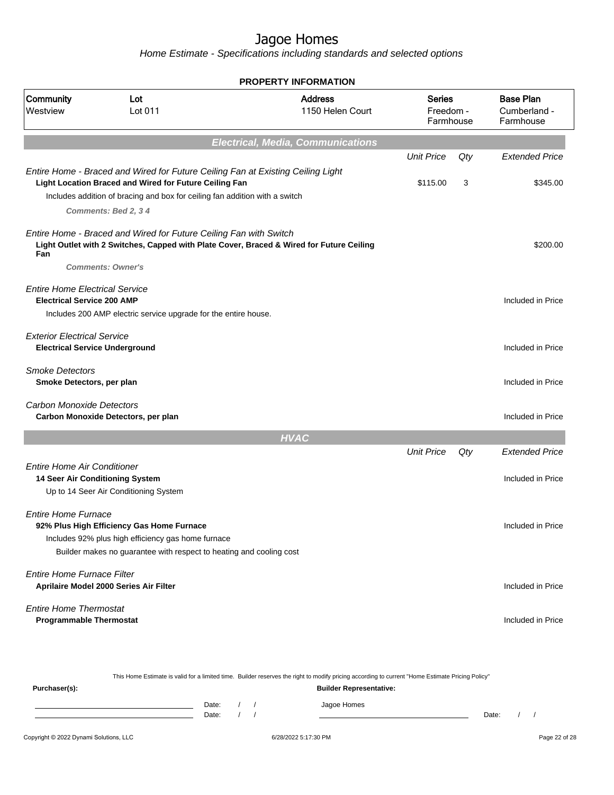|                                                                             |                                                                                                                                                                                                                          | <b>PROPERTY INFORMATION</b>                                                              |                                  |     |                                               |
|-----------------------------------------------------------------------------|--------------------------------------------------------------------------------------------------------------------------------------------------------------------------------------------------------------------------|------------------------------------------------------------------------------------------|----------------------------------|-----|-----------------------------------------------|
| Community<br>Westview                                                       | Lot<br>Lot 011                                                                                                                                                                                                           | <b>Address</b><br>1150 Helen Court                                                       | Series<br>Freedom -<br>Farmhouse |     | <b>Base Plan</b><br>Cumberland -<br>Farmhouse |
|                                                                             |                                                                                                                                                                                                                          | <b>Electrical, Media, Communications</b>                                                 |                                  |     |                                               |
|                                                                             |                                                                                                                                                                                                                          |                                                                                          | <b>Unit Price</b>                | Qty | <b>Extended Price</b>                         |
|                                                                             | Entire Home - Braced and Wired for Future Ceiling Fan at Existing Ceiling Light<br>Light Location Braced and Wired for Future Ceiling Fan<br>Includes addition of bracing and box for ceiling fan addition with a switch |                                                                                          | \$115.00                         | 3   | \$345.00                                      |
|                                                                             | Comments: Bed 2, 34                                                                                                                                                                                                      |                                                                                          |                                  |     |                                               |
| Fan                                                                         | Entire Home - Braced and Wired for Future Ceiling Fan with Switch<br><b>Comments: Owner's</b>                                                                                                                            | Light Outlet with 2 Switches, Capped with Plate Cover, Braced & Wired for Future Ceiling |                                  |     | \$200.00                                      |
| <b>Entire Home Electrical Service</b><br><b>Electrical Service 200 AMP</b>  | Includes 200 AMP electric service upgrade for the entire house.                                                                                                                                                          |                                                                                          |                                  |     | Included in Price                             |
| <b>Exterior Electrical Service</b><br><b>Electrical Service Underground</b> |                                                                                                                                                                                                                          |                                                                                          |                                  |     | Included in Price                             |
| <b>Smoke Detectors</b><br>Smoke Detectors, per plan                         |                                                                                                                                                                                                                          |                                                                                          |                                  |     | Included in Price                             |
| Carbon Monoxide Detectors                                                   | Carbon Monoxide Detectors, per plan                                                                                                                                                                                      |                                                                                          |                                  |     | Included in Price                             |
|                                                                             |                                                                                                                                                                                                                          | <b>HVAC</b>                                                                              |                                  |     |                                               |
|                                                                             |                                                                                                                                                                                                                          |                                                                                          | <b>Unit Price</b>                | Qty | <b>Extended Price</b>                         |
| <b>Entire Home Air Conditioner</b><br>14 Seer Air Conditioning System       | Up to 14 Seer Air Conditioning System                                                                                                                                                                                    |                                                                                          |                                  |     | Included in Price                             |
| <b>Entire Home Furnace</b>                                                  | 92% Plus High Efficiency Gas Home Furnace                                                                                                                                                                                |                                                                                          |                                  |     | Included in Price                             |
|                                                                             | Includes 92% plus high efficiency gas home furnace<br>Builder makes no guarantee with respect to heating and cooling cost                                                                                                |                                                                                          |                                  |     |                                               |
| Entire Home Furnace Filter                                                  | Aprilaire Model 2000 Series Air Filter                                                                                                                                                                                   |                                                                                          |                                  |     | Included in Price                             |
| <b>Entire Home Thermostat</b><br><b>Programmable Thermostat</b>             |                                                                                                                                                                                                                          |                                                                                          |                                  |     | Included in Price                             |

| This Home Estimate is valid for a limited time. Builder reserves the right to modify pricing according to current "Home Estimate Pricing Policy" |  |       |  |  |                                |       |  |  |
|--------------------------------------------------------------------------------------------------------------------------------------------------|--|-------|--|--|--------------------------------|-------|--|--|
| Purchaser(s):                                                                                                                                    |  |       |  |  | <b>Builder Representative:</b> |       |  |  |
|                                                                                                                                                  |  | Date: |  |  | Jagoe Homes                    |       |  |  |
|                                                                                                                                                  |  | Date: |  |  |                                | Date: |  |  |
|                                                                                                                                                  |  |       |  |  |                                |       |  |  |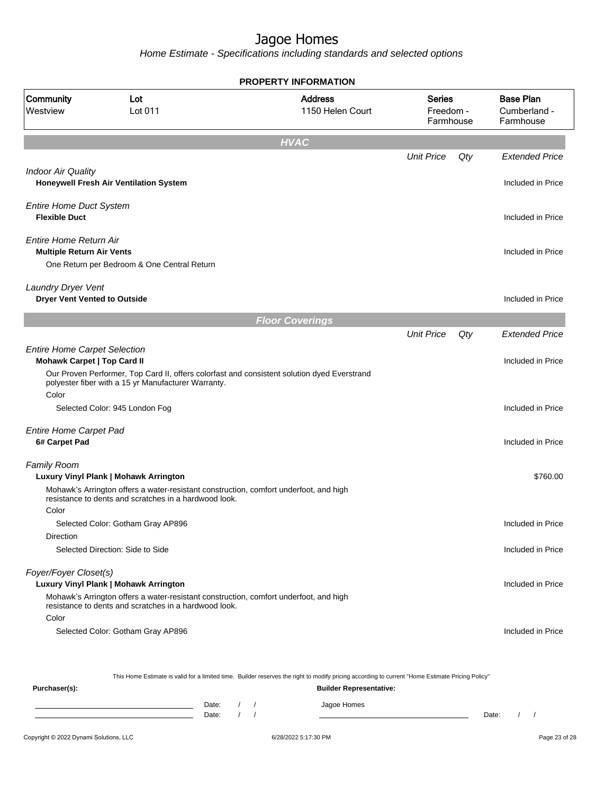Home Estimate - Specifications including standards and selected options

|                                                                           |                                                                                                                                                    | <b>PROPERTY INFORMATION</b>                                                                                                                      |                                  |     |                                               |
|---------------------------------------------------------------------------|----------------------------------------------------------------------------------------------------------------------------------------------------|--------------------------------------------------------------------------------------------------------------------------------------------------|----------------------------------|-----|-----------------------------------------------|
| Community<br>Westview                                                     | Lot<br>Lot 011                                                                                                                                     | <b>Address</b><br>1150 Helen Court                                                                                                               | Series<br>Freedom -<br>Farmhouse |     | <b>Base Plan</b><br>Cumberland -<br>Farmhouse |
|                                                                           |                                                                                                                                                    | <b>HVAC</b>                                                                                                                                      |                                  |     |                                               |
|                                                                           |                                                                                                                                                    |                                                                                                                                                  | <b>Unit Price</b>                | Qty | <b>Extended Price</b>                         |
| <b>Indoor Air Quality</b>                                                 | Honeywell Fresh Air Ventilation System                                                                                                             |                                                                                                                                                  |                                  |     | Included in Price                             |
| <b>Entire Home Duct System</b><br><b>Flexible Duct</b>                    |                                                                                                                                                    |                                                                                                                                                  |                                  |     | Included in Price                             |
| Entire Home Return Air<br><b>Multiple Return Air Vents</b>                | One Return per Bedroom & One Central Return                                                                                                        |                                                                                                                                                  |                                  |     | Included in Price                             |
|                                                                           |                                                                                                                                                    |                                                                                                                                                  |                                  |     |                                               |
| Laundry Dryer Vent<br><b>Dryer Vent Vented to Outside</b>                 |                                                                                                                                                    |                                                                                                                                                  |                                  |     | Included in Price                             |
|                                                                           |                                                                                                                                                    | <b>Floor Coverings</b>                                                                                                                           |                                  |     |                                               |
|                                                                           |                                                                                                                                                    |                                                                                                                                                  | <b>Unit Price</b>                | Qty | <b>Extended Price</b>                         |
| <b>Entire Home Carpet Selection</b><br><b>Mohawk Carpet   Top Card II</b> |                                                                                                                                                    |                                                                                                                                                  |                                  |     | Included in Price                             |
| Color                                                                     | Our Proven Performer, Top Card II, offers colorfast and consistent solution dyed Everstrand<br>polyester fiber with a 15 yr Manufacturer Warranty. |                                                                                                                                                  |                                  |     |                                               |
|                                                                           | Selected Color: 945 London Fog                                                                                                                     |                                                                                                                                                  |                                  |     | Included in Price                             |
|                                                                           |                                                                                                                                                    |                                                                                                                                                  |                                  |     |                                               |
| <b>Entire Home Carpet Pad</b><br>6# Carpet Pad                            |                                                                                                                                                    |                                                                                                                                                  |                                  |     | Included in Price                             |
| <b>Family Room</b>                                                        | Luxury Vinyl Plank   Mohawk Arrington                                                                                                              |                                                                                                                                                  |                                  |     | \$760.00                                      |
|                                                                           | Mohawk's Arrington offers a water-resistant construction, comfort underfoot, and high<br>resistance to dents and scratches in a hardwood look.     |                                                                                                                                                  |                                  |     |                                               |
| Color                                                                     | Selected Color: Gotham Gray AP896                                                                                                                  |                                                                                                                                                  |                                  |     | Included in Price                             |
| Direction                                                                 |                                                                                                                                                    |                                                                                                                                                  |                                  |     |                                               |
|                                                                           | Selected Direction: Side to Side                                                                                                                   |                                                                                                                                                  |                                  |     | Included in Price                             |
| Foyer/Foyer Closet(s)                                                     | Luxury Vinyl Plank   Mohawk Arrington                                                                                                              |                                                                                                                                                  |                                  |     | Included in Price                             |
|                                                                           | Mohawk's Arrington offers a water-resistant construction, comfort underfoot, and high<br>resistance to dents and scratches in a hardwood look.     |                                                                                                                                                  |                                  |     |                                               |
| Color                                                                     | Selected Color: Gotham Gray AP896                                                                                                                  |                                                                                                                                                  |                                  |     | Included in Price                             |
|                                                                           |                                                                                                                                                    | This Home Estimate is valid for a limited time. Builder reserves the right to modify pricing according to current "Home Estimate Pricing Policy" |                                  |     |                                               |
| Purchaser(s):                                                             |                                                                                                                                                    | <b>Builder Representative:</b>                                                                                                                   |                                  |     |                                               |

Date: / / Jagoe Homes<br>Date: / / Jagoe Homes Date: / / Date: / /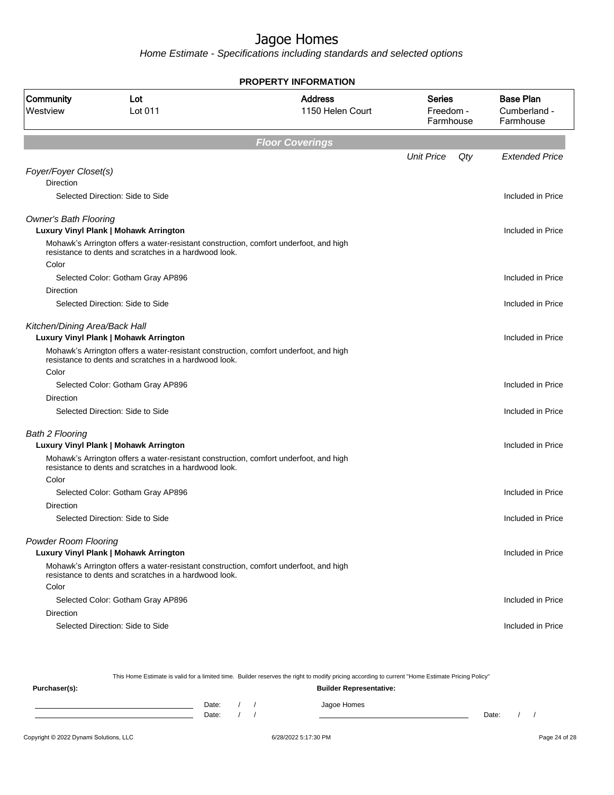Home Estimate - Specifications including standards and selected options

|                                           |                                                                                                                                                | <b>PROPERTY INFORMATION</b>        |                                         |     |                                               |
|-------------------------------------------|------------------------------------------------------------------------------------------------------------------------------------------------|------------------------------------|-----------------------------------------|-----|-----------------------------------------------|
| Community<br>Westview                     | Lot<br>Lot 011                                                                                                                                 | <b>Address</b><br>1150 Helen Court | <b>Series</b><br>Freedom -<br>Farmhouse |     | <b>Base Plan</b><br>Cumberland -<br>Farmhouse |
|                                           |                                                                                                                                                | <b>Floor Coverings</b>             |                                         |     |                                               |
|                                           |                                                                                                                                                |                                    | <b>Unit Price</b>                       | Qty | <b>Extended Price</b>                         |
| Foyer/Foyer Closet(s)<br><b>Direction</b> |                                                                                                                                                |                                    |                                         |     |                                               |
|                                           | Selected Direction: Side to Side                                                                                                               |                                    |                                         |     | Included in Price                             |
| <b>Owner's Bath Flooring</b>              |                                                                                                                                                |                                    |                                         |     |                                               |
|                                           | Luxury Vinyl Plank   Mohawk Arrington                                                                                                          |                                    |                                         |     | Included in Price                             |
|                                           | Mohawk's Arrington offers a water-resistant construction, comfort underfoot, and high<br>resistance to dents and scratches in a hardwood look. |                                    |                                         |     |                                               |
| Color                                     |                                                                                                                                                |                                    |                                         |     |                                               |
|                                           | Selected Color: Gotham Gray AP896                                                                                                              |                                    |                                         |     | Included in Price                             |
| Direction                                 |                                                                                                                                                |                                    |                                         |     |                                               |
|                                           | Selected Direction: Side to Side                                                                                                               |                                    |                                         |     | Included in Price                             |
| Kitchen/Dining Area/Back Hall             | Luxury Vinyl Plank   Mohawk Arrington                                                                                                          |                                    |                                         |     | Included in Price                             |
|                                           | Mohawk's Arrington offers a water-resistant construction, comfort underfoot, and high<br>resistance to dents and scratches in a hardwood look. |                                    |                                         |     |                                               |
| Color                                     |                                                                                                                                                |                                    |                                         |     |                                               |
|                                           | Selected Color: Gotham Gray AP896                                                                                                              |                                    |                                         |     | Included in Price                             |
| Direction                                 |                                                                                                                                                |                                    |                                         |     |                                               |
|                                           | Selected Direction: Side to Side                                                                                                               |                                    |                                         |     | Included in Price                             |
| <b>Bath 2 Flooring</b>                    |                                                                                                                                                |                                    |                                         |     |                                               |
|                                           | Luxury Vinyl Plank   Mohawk Arrington                                                                                                          |                                    |                                         |     | Included in Price                             |
|                                           | Mohawk's Arrington offers a water-resistant construction, comfort underfoot, and high<br>resistance to dents and scratches in a hardwood look. |                                    |                                         |     |                                               |
| Color                                     |                                                                                                                                                |                                    |                                         |     |                                               |
|                                           | Selected Color: Gotham Gray AP896                                                                                                              |                                    |                                         |     | Included in Price                             |
| Direction                                 |                                                                                                                                                |                                    |                                         |     |                                               |
|                                           | Selected Direction: Side to Side                                                                                                               |                                    |                                         |     | Included in Price                             |
| <b>Powder Room Flooring</b>               |                                                                                                                                                |                                    |                                         |     |                                               |
|                                           | Luxury Vinyl Plank   Mohawk Arrington                                                                                                          |                                    |                                         |     | Included in Price                             |
|                                           | Mohawk's Arrington offers a water-resistant construction, comfort underfoot, and high<br>resistance to dents and scratches in a hardwood look. |                                    |                                         |     |                                               |
| Color                                     |                                                                                                                                                |                                    |                                         |     |                                               |
|                                           | Selected Color: Gotham Gray AP896                                                                                                              |                                    |                                         |     | Included in Price                             |
| Direction                                 |                                                                                                                                                |                                    |                                         |     |                                               |
|                                           | Selected Direction: Side to Side                                                                                                               |                                    |                                         |     | Included in Price                             |
|                                           |                                                                                                                                                |                                    |                                         |     |                                               |

This Home Estimate is valid for a limited time. Builder reserves the right to modify pricing according to current "Home Estimate Pricing Policy" **Purchaser(s): Builder Representative:** Date: / / Jagoe Homes<br>Date: / / Jagoe Homes Date: / / Date: / /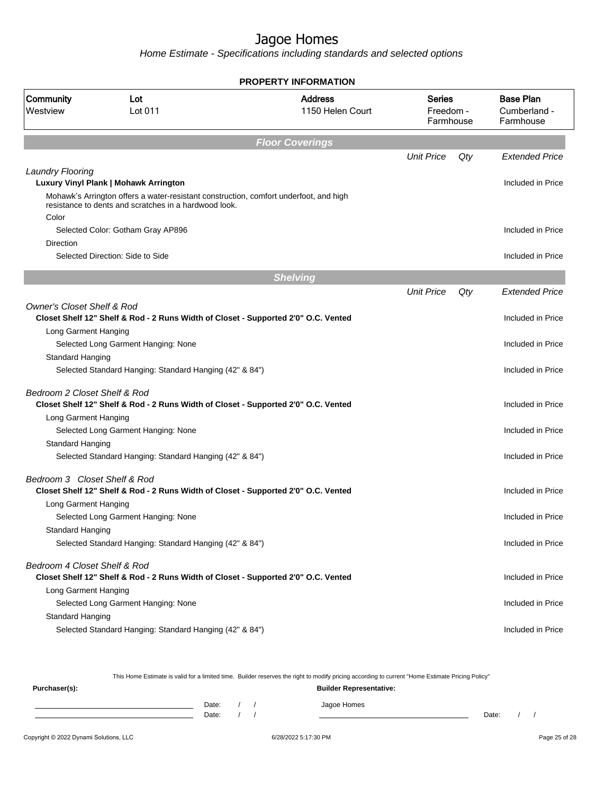Home Estimate - Specifications including standards and selected options

|                                       |                                                                                                                                                | <b>PROPERTY INFORMATION</b>        |                                         |     |                                               |
|---------------------------------------|------------------------------------------------------------------------------------------------------------------------------------------------|------------------------------------|-----------------------------------------|-----|-----------------------------------------------|
| Community<br>Westview                 | Lot<br>Lot 011                                                                                                                                 | <b>Address</b><br>1150 Helen Court | <b>Series</b><br>Freedom -<br>Farmhouse |     | <b>Base Plan</b><br>Cumberland -<br>Farmhouse |
|                                       |                                                                                                                                                | <b>Floor Coverings</b>             |                                         |     |                                               |
|                                       |                                                                                                                                                |                                    | <b>Unit Price</b>                       | Qty | <b>Extended Price</b>                         |
| <b>Laundry Flooring</b>               | Luxury Vinyl Plank   Mohawk Arrington                                                                                                          |                                    |                                         |     | Included in Price                             |
| Color                                 | Mohawk's Arrington offers a water-resistant construction, comfort underfoot, and high<br>resistance to dents and scratches in a hardwood look. |                                    |                                         |     |                                               |
|                                       | Selected Color: Gotham Gray AP896                                                                                                              |                                    |                                         |     | Included in Price                             |
| Direction                             |                                                                                                                                                |                                    |                                         |     |                                               |
|                                       | Selected Direction: Side to Side                                                                                                               |                                    |                                         |     | Included in Price                             |
|                                       |                                                                                                                                                | <b>Shelving</b>                    |                                         |     |                                               |
|                                       |                                                                                                                                                |                                    | <b>Unit Price</b>                       | Qty | <b>Extended Price</b>                         |
| <b>Owner's Closet Shelf &amp; Rod</b> |                                                                                                                                                |                                    |                                         |     |                                               |
|                                       | Closet Shelf 12" Shelf & Rod - 2 Runs Width of Closet - Supported 2'0" O.C. Vented                                                             |                                    |                                         |     | Included in Price                             |
| Long Garment Hanging                  |                                                                                                                                                |                                    |                                         |     |                                               |
|                                       | Selected Long Garment Hanging: None                                                                                                            |                                    |                                         |     | Included in Price                             |
| Standard Hanging                      |                                                                                                                                                |                                    |                                         |     |                                               |
|                                       | Selected Standard Hanging: Standard Hanging (42" & 84")                                                                                        |                                    |                                         |     | Included in Price                             |
| Bedroom 2 Closet Shelf & Rod          | Closet Shelf 12" Shelf & Rod - 2 Runs Width of Closet - Supported 2'0" O.C. Vented                                                             |                                    |                                         |     | Included in Price                             |
| Long Garment Hanging                  |                                                                                                                                                |                                    |                                         |     |                                               |
|                                       | Selected Long Garment Hanging: None                                                                                                            |                                    |                                         |     | Included in Price                             |
| Standard Hanging                      |                                                                                                                                                |                                    |                                         |     |                                               |
|                                       | Selected Standard Hanging: Standard Hanging (42" & 84")                                                                                        |                                    |                                         |     | Included in Price                             |
| Bedroom 3 Closet Shelf & Rod          |                                                                                                                                                |                                    |                                         |     |                                               |
|                                       | Closet Shelf 12" Shelf & Rod - 2 Runs Width of Closet - Supported 2'0" O.C. Vented                                                             |                                    |                                         |     | Included in Price                             |
| Long Garment Hanging                  |                                                                                                                                                |                                    |                                         |     |                                               |
|                                       | Selected Long Garment Hanging: None                                                                                                            |                                    |                                         |     | Included in Price                             |
| Standard Hanging                      |                                                                                                                                                |                                    |                                         |     |                                               |
|                                       | Selected Standard Hanging: Standard Hanging (42" & 84")                                                                                        |                                    |                                         |     | Included in Price                             |
| Bedroom 4 Closet Shelf & Rod          |                                                                                                                                                |                                    |                                         |     |                                               |
|                                       | Closet Shelf 12" Shelf & Rod - 2 Runs Width of Closet - Supported 2'0" O.C. Vented                                                             |                                    |                                         |     | Included in Price                             |
| Long Garment Hanging                  |                                                                                                                                                |                                    |                                         |     |                                               |
|                                       | Selected Long Garment Hanging: None                                                                                                            |                                    |                                         |     | Included in Price                             |
| Standard Hanging                      |                                                                                                                                                |                                    |                                         |     |                                               |
|                                       | Selected Standard Hanging: Standard Hanging (42" & 84")                                                                                        |                                    |                                         |     | Included in Price                             |

This Home Estimate is valid for a limited time. Builder reserves the right to modify pricing according to current "Home Estimate Pricing Policy" **Purchaser(s): Builder Representative:** Date: / / Jagoe Homes<br>Date: / / Jagoe Homes Date: / / Date: / /

Copyright © 2022 Dynami Solutions, LLC <br>
6/28/2022 5:17:30 PM Page 25 of 28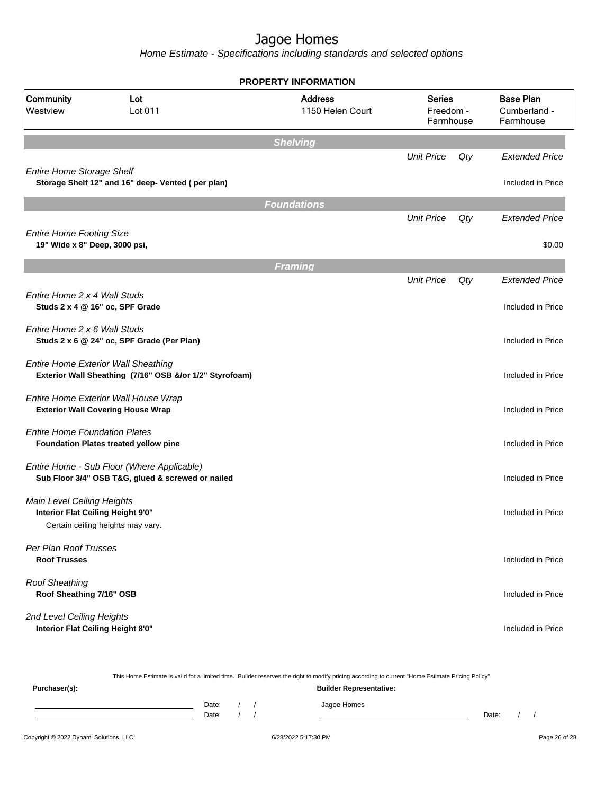|                                                                  |                                                                                                       | <b>PROPERTY INFORMATION</b>        |                                         |     |                                               |
|------------------------------------------------------------------|-------------------------------------------------------------------------------------------------------|------------------------------------|-----------------------------------------|-----|-----------------------------------------------|
| Community<br>Westview                                            | Lot<br>Lot 011                                                                                        | <b>Address</b><br>1150 Helen Court | <b>Series</b><br>Freedom -<br>Farmhouse |     | <b>Base Plan</b><br>Cumberland -<br>Farmhouse |
|                                                                  |                                                                                                       | <b>Shelving</b>                    |                                         |     |                                               |
|                                                                  |                                                                                                       |                                    | <b>Unit Price</b>                       | Qty | <b>Extended Price</b>                         |
| <b>Entire Home Storage Shelf</b>                                 | Storage Shelf 12" and 16" deep- Vented (per plan)                                                     |                                    |                                         |     | Included in Price                             |
|                                                                  |                                                                                                       | <b>Foundations</b>                 |                                         |     |                                               |
|                                                                  |                                                                                                       |                                    | <b>Unit Price</b>                       | Qty | <b>Extended Price</b>                         |
| <b>Entire Home Footing Size</b><br>19" Wide x 8" Deep, 3000 psi, |                                                                                                       |                                    |                                         |     | \$0.00                                        |
|                                                                  |                                                                                                       | <b>Framing</b>                     |                                         |     |                                               |
|                                                                  |                                                                                                       |                                    | <b>Unit Price</b>                       | Qty | <b>Extended Price</b>                         |
| Entire Home 2 x 4 Wall Studs                                     | Studs 2 x 4 @ 16" oc, SPF Grade                                                                       |                                    |                                         |     | Included in Price                             |
| Entire Home 2 x 6 Wall Studs                                     | Studs 2 x 6 @ 24" oc, SPF Grade (Per Plan)                                                            |                                    |                                         |     | Included in Price                             |
|                                                                  | <b>Entire Home Exterior Wall Sheathing</b><br>Exterior Wall Sheathing (7/16" OSB &/or 1/2" Styrofoam) |                                    |                                         |     | Included in Price                             |
|                                                                  | Entire Home Exterior Wall House Wrap<br><b>Exterior Wall Covering House Wrap</b>                      |                                    |                                         |     | Included in Price                             |
| <b>Entire Home Foundation Plates</b>                             | Foundation Plates treated yellow pine                                                                 |                                    |                                         |     | Included in Price                             |
|                                                                  | Entire Home - Sub Floor (Where Applicable)<br>Sub Floor 3/4" OSB T&G, glued & screwed or nailed       |                                    |                                         |     | Included in Price                             |
| Main Level Ceiling Heights<br>Interior Flat Ceiling Height 9'0"  | Certain ceiling heights may vary.                                                                     |                                    |                                         |     | Included in Price                             |
| Per Plan Roof Trusses<br><b>Roof Trusses</b>                     |                                                                                                       |                                    |                                         |     | Included in Price                             |
| <b>Roof Sheathing</b><br>Roof Sheathing 7/16" OSB                |                                                                                                       |                                    |                                         |     | Included in Price                             |
| 2nd Level Ceiling Heights<br>Interior Flat Ceiling Height 8'0"   |                                                                                                       |                                    |                                         |     | Included in Price                             |

|               | This Home Estimate is valid for a limited time. Builder reserves the right to modify pricing according to current "Home Estimate Pricing Policy" |  |  |  |             |       |  |  |  |
|---------------|--------------------------------------------------------------------------------------------------------------------------------------------------|--|--|--|-------------|-------|--|--|--|
| Purchaser(s): | <b>Builder Representative:</b>                                                                                                                   |  |  |  |             |       |  |  |  |
|               | Date:                                                                                                                                            |  |  |  | Jagoe Homes |       |  |  |  |
|               | Date:                                                                                                                                            |  |  |  |             | Date: |  |  |  |
|               |                                                                                                                                                  |  |  |  |             |       |  |  |  |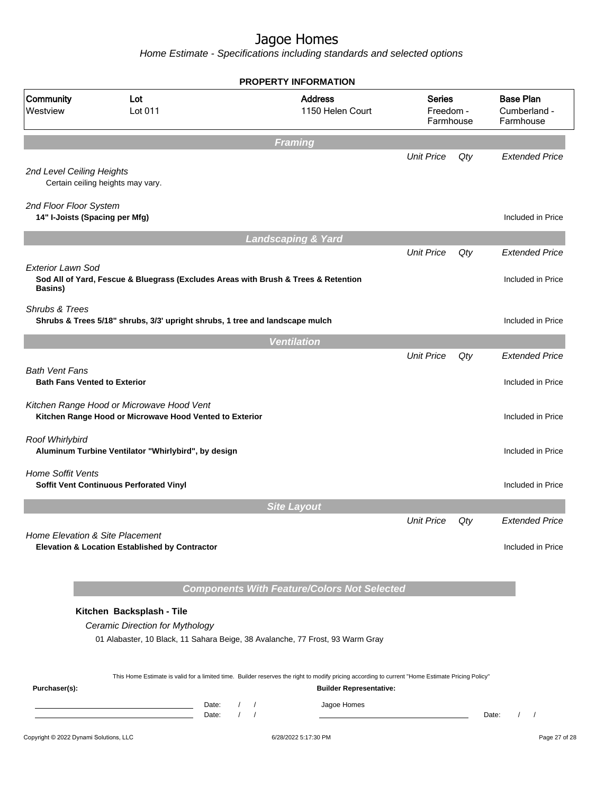|                                                          |                                                                                                                                                                                                                                                                | <b>PROPERTY INFORMATION</b>                        |                                         |     |                                               |  |
|----------------------------------------------------------|----------------------------------------------------------------------------------------------------------------------------------------------------------------------------------------------------------------------------------------------------------------|----------------------------------------------------|-----------------------------------------|-----|-----------------------------------------------|--|
| Community<br>Westview                                    | Lot<br>Lot 011                                                                                                                                                                                                                                                 | <b>Address</b><br>1150 Helen Court                 | <b>Series</b><br>Freedom -<br>Farmhouse |     | <b>Base Plan</b><br>Cumberland -<br>Farmhouse |  |
|                                                          |                                                                                                                                                                                                                                                                | <b>Framing</b>                                     |                                         |     |                                               |  |
| 2nd Level Ceiling Heights                                | Certain ceiling heights may vary.                                                                                                                                                                                                                              |                                                    | <b>Unit Price</b>                       | Qty | <b>Extended Price</b>                         |  |
| 2nd Floor Floor System<br>14" I-Joists (Spacing per Mfg) |                                                                                                                                                                                                                                                                |                                                    |                                         |     | Included in Price                             |  |
|                                                          |                                                                                                                                                                                                                                                                | <b>Landscaping &amp; Yard</b>                      |                                         |     |                                               |  |
| <b>Exterior Lawn Sod</b>                                 | Sod All of Yard, Fescue & Bluegrass (Excludes Areas with Brush & Trees & Retention                                                                                                                                                                             |                                                    | <b>Unit Price</b>                       | Qty | <b>Extended Price</b><br>Included in Price    |  |
| <b>Basins</b> )<br>Shrubs & Trees                        | Shrubs & Trees 5/18" shrubs, 3/3' upright shrubs, 1 tree and landscape mulch                                                                                                                                                                                   |                                                    |                                         |     | Included in Price                             |  |
|                                                          |                                                                                                                                                                                                                                                                | <b>Ventilation</b>                                 |                                         |     |                                               |  |
| <b>Bath Vent Fans</b>                                    |                                                                                                                                                                                                                                                                |                                                    | <b>Unit Price</b>                       | Qty | <b>Extended Price</b>                         |  |
| <b>Bath Fans Vented to Exterior</b>                      | Kitchen Range Hood or Microwave Hood Vent<br>Kitchen Range Hood or Microwave Hood Vented to Exterior                                                                                                                                                           |                                                    |                                         |     | Included in Price<br>Included in Price        |  |
| Roof Whirlybird                                          | Aluminum Turbine Ventilator "Whirlybird", by design                                                                                                                                                                                                            |                                                    |                                         |     | Included in Price                             |  |
| <b>Home Soffit Vents</b>                                 | Soffit Vent Continuous Perforated Vinyl                                                                                                                                                                                                                        |                                                    |                                         |     | Included in Price                             |  |
|                                                          |                                                                                                                                                                                                                                                                | <b>Site Layout</b>                                 |                                         |     |                                               |  |
| Home Elevation & Site Placement                          | Elevation & Location Established by Contractor                                                                                                                                                                                                                 |                                                    | <b>Unit Price</b>                       | Qty | <b>Extended Price</b><br>Included in Price    |  |
|                                                          |                                                                                                                                                                                                                                                                | <b>Components With Feature/Colors Not Selected</b> |                                         |     |                                               |  |
|                                                          | Kitchen Backsplash - Tile                                                                                                                                                                                                                                      |                                                    |                                         |     |                                               |  |
|                                                          | Ceramic Direction for Mythology<br>01 Alabaster, 10 Black, 11 Sahara Beige, 38 Avalanche, 77 Frost, 93 Warm Gray                                                                                                                                               |                                                    |                                         |     |                                               |  |
| Purchaser(s):                                            | This Home Estimate is valid for a limited time. Builder reserves the right to modify pricing according to current "Home Estimate Pricing Policy"                                                                                                               | <b>Builder Representative:</b>                     |                                         |     |                                               |  |
|                                                          | Date:<br>$\sqrt{ }$<br>the control of the control of the control of the control of the control of<br>$\sqrt{ }$<br>$\sqrt{ }$<br>Date:<br><u> 1989 - Johann Barn, mars eta bainar eta bainar eta baina eta baina eta baina eta baina eta baina eta baina e</u> | Jagoe Homes                                        |                                         |     | Date:<br>$\left  \right $                     |  |